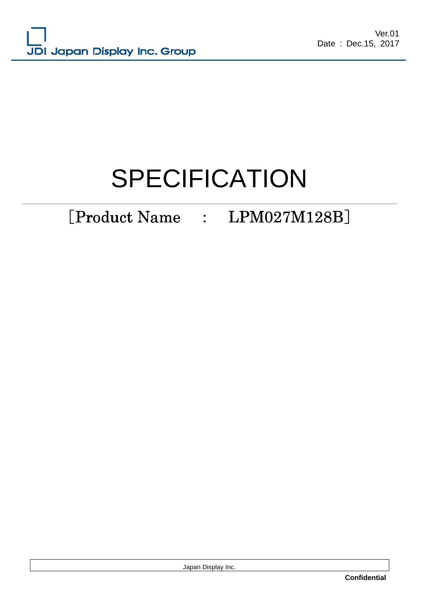# SPECIFICATION

# [Product Name : LPM027M128B]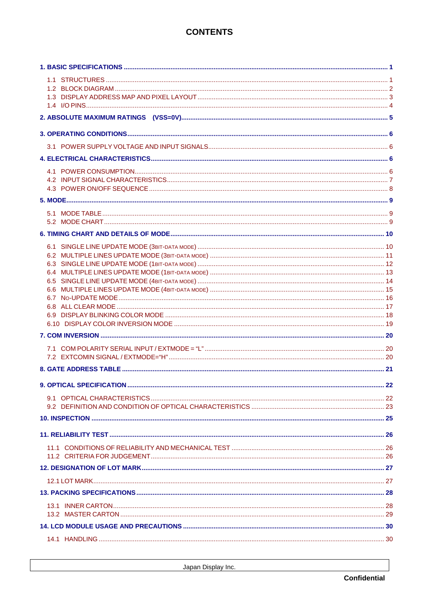# **CONTENTS**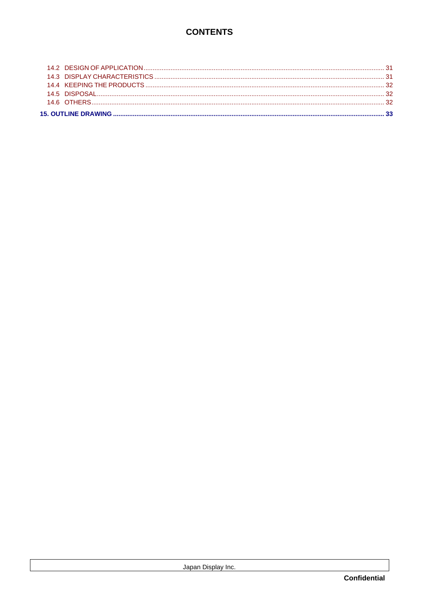# **CONTENTS**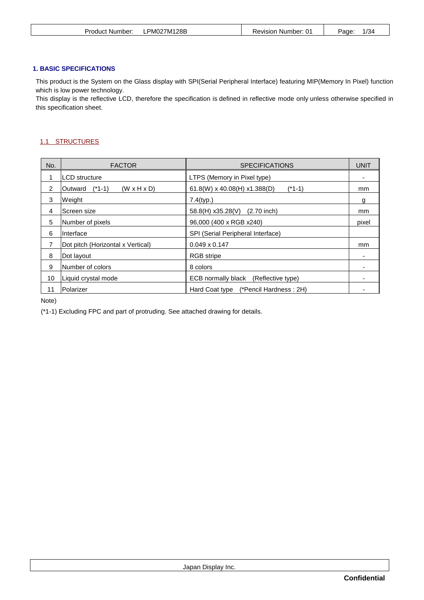| PM027M128B<br>Product<br>Revision Number:<br>: Number:<br>-- | /34<br>Page <sup>-</sup> |
|--------------------------------------------------------------|--------------------------|
|--------------------------------------------------------------|--------------------------|

# **1. BASIC SPECIFICATIONS**

This product is the System on the Glass display with SPI(Serial Peripheral Interface) featuring MIP(Memory In Pixel) function which is low power technology.

This display is the reflective LCD, therefore the specification is defined in reflective mode only unless otherwise specified in this specification sheet.

# 1.1 STRUCTURES

| No. | <b>FACTOR</b><br><b>SPECIFICATIONS</b>         |                                            |       |  |
|-----|------------------------------------------------|--------------------------------------------|-------|--|
|     | <b>LCD</b> structure                           | LTPS (Memory in Pixel type)                |       |  |
| 2   | $(*1-1)$<br>$(W \times H \times D)$<br>Outward | $61.8(W)$ x 40.08(H) x1.388(D)<br>$(*1-1)$ | mm    |  |
| 3   | Weight                                         | 7.4(typ.)                                  | g     |  |
| 4   | lScreen size                                   | 58.8(H) x35.28(V)<br>$(2.70$ inch)         | mm    |  |
| 5   | Number of pixels                               | 96,000 (400 x RGB x240)                    | pixel |  |
| 6   | Interface                                      | SPI (Serial Peripheral Interface)          |       |  |
| 7   | Dot pitch (Horizontal x Vertical)              | $0.049 \times 0.147$                       | mm    |  |
| 8   | Dot layout                                     | <b>RGB</b> stripe                          | -     |  |
| 9   | Number of colors                               | 8 colors                                   |       |  |
| 10  | Liquid crystal mode                            | ECB normally black (Reflective type)       |       |  |
| 11  | Polarizer                                      | Hard Coat type (*Pencil Hardness: 2H)      |       |  |

Note)

(\*1-1) Excluding FPC and part of protruding. See attached drawing for details.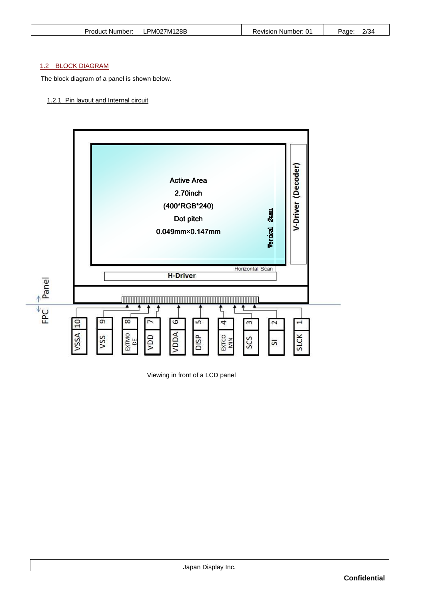| Product Number: | PM027M128B | <b>Revision Number: 01</b> | 2/34<br>Page <sup>-</sup> |
|-----------------|------------|----------------------------|---------------------------|
|                 |            |                            |                           |

# 1.2 BLOCK DIAGRAM

The block diagram of a panel is shown below.

# 1.2.1 Pin layout and Internal circuit



Viewing in front of a LCD panel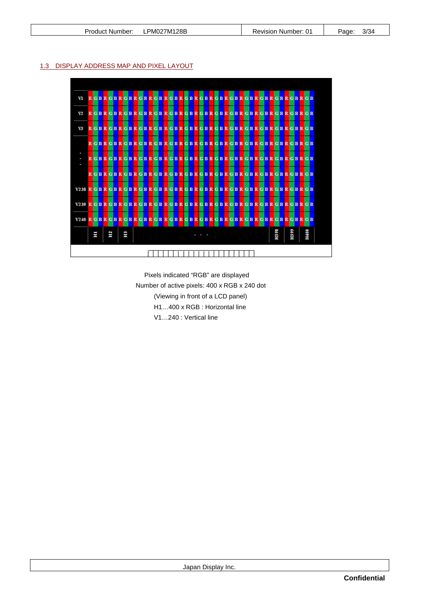# 1.3 DISPLAY ADDRESS MAP AND PIXEL LAYOUT



Pixels indicated "RGB" are displayed Number of active pixels: 400 x RGB x 240 dot (Viewing in front of a LCD panel) H1…400 x RGB : Horizontal line V1…240 : Vertical line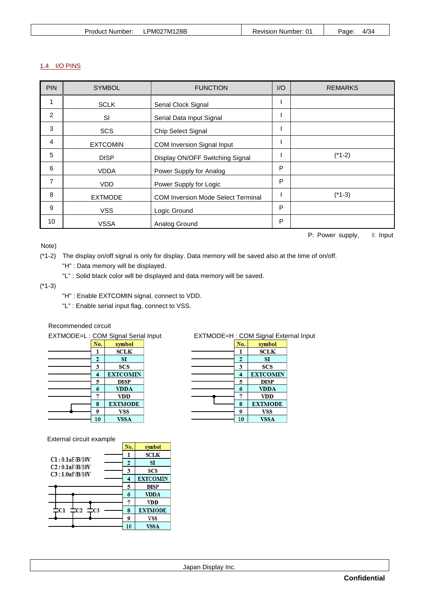|  | Product Number: | PM027M128B | Revision<br>Number:<br>.U | Page | $4/3^{\prime}$ |
|--|-----------------|------------|---------------------------|------|----------------|
|--|-----------------|------------|---------------------------|------|----------------|

# 1.4 I/O PINS

| <b>PIN</b> | <b>SYMBOL</b>   | <b>FUNCTION</b>                           |   | <b>REMARKS</b> |
|------------|-----------------|-------------------------------------------|---|----------------|
| 1          | <b>SCLK</b>     | Serial Clock Signal                       |   |                |
| 2          | SI              | Serial Data Input Signal                  |   |                |
| 3          | <b>SCS</b>      | Chip Select Signal                        |   |                |
| 4          | <b>EXTCOMIN</b> | COM Inversion Signal Input                |   |                |
| 5          | <b>DISP</b>     | Display ON/OFF Switching Signal           |   | $(*1-2)$       |
| 6          | <b>VDDA</b>     | Power Supply for Analog                   | P |                |
| 7          | <b>VDD</b>      | Power Supply for Logic                    | P |                |
| 8          | <b>EXTMODE</b>  | <b>COM Inversion Mode Select Terminal</b> |   | $(*1-3)$       |
| 9          | <b>VSS</b>      | Logic Ground                              | P |                |
| 10         | <b>VSSA</b>     | Analog Ground                             | P |                |

Note)

P: Power supply, I: Input

- (\*1-2) The display on/off signal is only for display. Data memory will be saved also at the time of on/off. "H" : Data memory will be displayed.
	- "L" : Solid black color will be displayed and data memory will be saved.

(\*1-3)

- "H" : Enable EXTCOMIN signal, connect to VDD.
- "L" : Enable serial input flag, connect to VSS.

# Recommended circuit

| EXTMODE=L : COM Signal Serial In |     |                 |  |
|----------------------------------|-----|-----------------|--|
|                                  | No. | symbol          |  |
|                                  |     | <b>SCLK</b>     |  |
|                                  | 2   | SI              |  |
|                                  | 3   | <b>SCS</b>      |  |
|                                  |     | <b>EXTCOMIN</b> |  |
|                                  | 5   | <b>DISP</b>     |  |
|                                  | 6   | <b>VDDA</b>     |  |
|                                  |     | <b>VDD</b>      |  |
|                                  | 8   | <b>EXTMODE</b>  |  |
|                                  | 9   | <b>VSS</b>      |  |
|                                  | 10  | <b>VSSA</b>     |  |

External circuit example

|                                  | External circuit example |    |     |                 |
|----------------------------------|--------------------------|----|-----|-----------------|
|                                  |                          |    | No. | symbol          |
|                                  |                          |    | ı   | <b>SCLK</b>     |
| Cl: 0.1uF/B/10V                  |                          |    | 2   | SI              |
| C2:0.1uF/B/10V<br>C3:1.0uF/B/10V |                          |    | 3   | SCS             |
|                                  |                          |    | 4   | <b>EXTCOMIN</b> |
|                                  |                          |    | 5   | DISP            |
|                                  |                          |    | 6   | <b>VDDA</b>     |
|                                  |                          |    |     | <b>VDD</b>      |
| Cl                               | CЭ                       | CЗ | 8   | <b>EXTMODE</b>  |
|                                  |                          |    | 9   | VSS             |
|                                  |                          |    | 10  | <b>VSSA</b>     |
|                                  |                          |    |     |                 |

| EXTMODE=L: COM Signal Serial Input |     |                 |  |     | EXTMODE=H: COM Signal External Input |  |
|------------------------------------|-----|-----------------|--|-----|--------------------------------------|--|
|                                    | No. | symbol          |  | No. | symbol                               |  |
|                                    |     | SCLK            |  |     | SCLK                                 |  |
|                                    | 2   | SI              |  |     | SI                                   |  |
|                                    | 3   | SCS             |  | 3   | <b>SCS</b>                           |  |
|                                    | 4   | <b>EXTCOMIN</b> |  | 4   | <b>EXTCOMIN</b>                      |  |
|                                    | 5   | <b>DISP</b>     |  | 5   | <b>DISP</b>                          |  |
|                                    | 6   | <b>VDDA</b>     |  | 6   | <b>VDDA</b>                          |  |
|                                    |     | VDD             |  |     | VDD                                  |  |
|                                    | 8   | <b>EXTMODE</b>  |  | 8   | <b>EXTMODE</b>                       |  |
|                                    | 9   | VSS             |  | 9   | <b>VSS</b>                           |  |
|                                    | 10  | VSSA            |  | 10  | <b>VSSA</b>                          |  |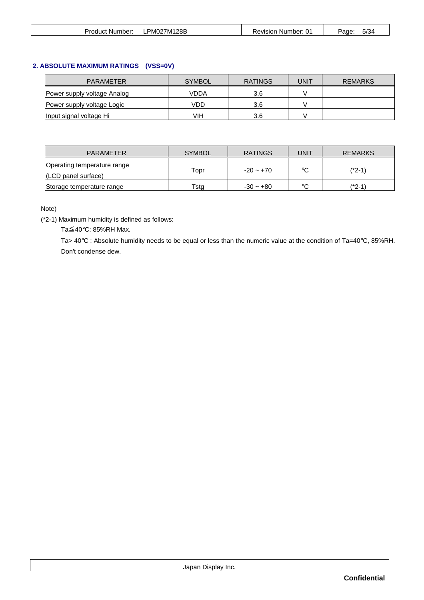| 5/34<br>PM027M128B<br>11.<br>Revision<br>Paαe<br>Product Number:<br>Number: |  |
|-----------------------------------------------------------------------------|--|
|-----------------------------------------------------------------------------|--|

# **2. ABSOLUTE MAXIMUM RATINGS (VSS=0V)**

| <b>PARAMETER</b>            | <b>SYMBOL</b> | <b>RATINGS</b> | UNIT | <b>REMARKS</b> |
|-----------------------------|---------------|----------------|------|----------------|
| Power supply voltage Analog | VDDA          | 3.6            |      |                |
| Power supply voltage Logic  | VDD           | 3.6            |      |                |
| Input signal voltage Hi     | VIH           | 3.6            |      |                |

| <b>PARAMETER</b>                                               | <b>SYMBOL</b> | <b>RATINGS</b> | UNIT    | <b>REMARKS</b> |
|----------------------------------------------------------------|---------------|----------------|---------|----------------|
| Operating temperature range<br>$ (LCD \text{ panel} surface) $ | Topr          | $-20 - +70$    | $\circ$ | (*2-1)         |
| Storage temperature range                                      | Tsta          | $-30 - +80$    | $\circ$ | (*2-1`         |

# Note)

(\*2-1) Maximum humidity is defined as follows:

Ta≦40°C: 85%RH Max.

Ta> 40°C : Absolute humidity needs to be equal or less than the numeric value at the condition of Ta=40°C, 85%RH. Don't condense dew.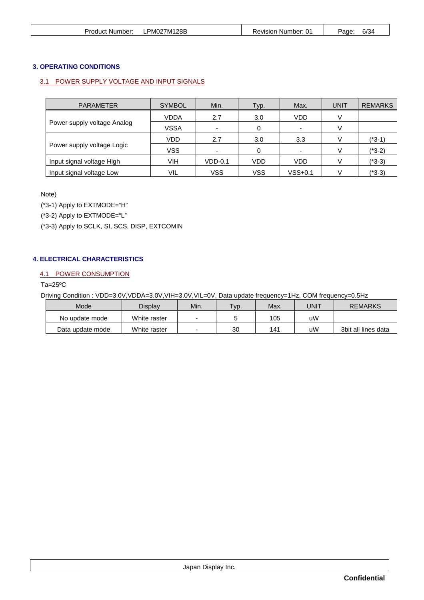| Product Number: | PM027M128B<br>-- | Revision Number: 01 | 6/34<br>Page <sup>-</sup> |
|-----------------|------------------|---------------------|---------------------------|
|                 |                  |                     |                           |

# **3. OPERATING CONDITIONS**

# 3.1 POWER SUPPLY VOLTAGE AND INPUT SIGNALS

| <b>PARAMETER</b>            | <b>SYMBOL</b> | Min.                     | Typ.       | Max.      | <b>UNIT</b> | <b>REMARKS</b> |
|-----------------------------|---------------|--------------------------|------------|-----------|-------------|----------------|
|                             | VDDA          | 2.7                      | 3.0        | VDD       |             |                |
| Power supply voltage Analog | <b>VSSA</b>   | $\overline{\phantom{a}}$ | 0          | ۰         |             |                |
|                             | <b>VDD</b>    | 2.7                      | 3.0        | 3.3       |             | $(*3-1)$       |
| Power supply voltage Logic  | <b>VSS</b>    | $\overline{\phantom{a}}$ | 0          | ۰.        |             | $(*3-2)$       |
| Input signal voltage High   | VIH           | $VDD-0.1$                | VDD        | VDD       |             | $(*3-3)$       |
| Input signal voltage Low    | VIL           | <b>VSS</b>               | <b>VSS</b> | $VSS+0.1$ |             | (*3-3)         |

Note)

(\*3-1) Apply to EXTMODE="H"

(\*3-2) Apply to EXTMODE="L"

(\*3-3) Apply to SCLK, SI, SCS, DISP, EXTCOMIN

# **4. ELECTRICAL CHARACTERISTICS**

# 4.1 POWER CONSUMPTION

Ta=25ºC

Driving Condition : VDD=3.0V,VDDA=3.0V,VIH=3.0V,VIL=0V, Data update frequency=1Hz, COM frequency=0.5Hz

| Mode             | Display      | Min.                     | $TVD$ . | Max. | UNIT | <b>REMARKS</b>      |
|------------------|--------------|--------------------------|---------|------|------|---------------------|
| No update mode   | White raster | $\overline{\phantom{0}}$ |         | 105  | uW   |                     |
| Data update mode | White raster | $\overline{\phantom{0}}$ | 30      | 141  | uW   | 3bit all lines data |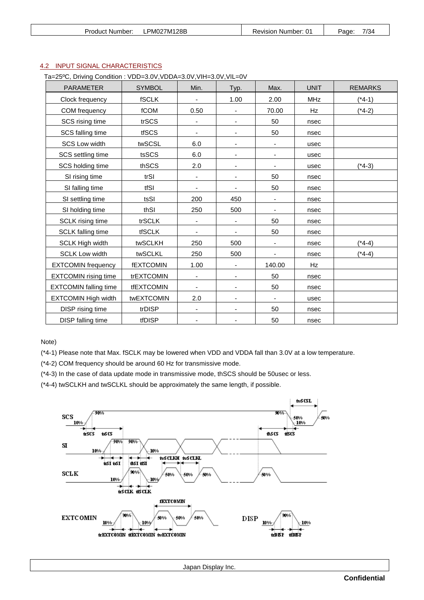| Product<br>. Number: | PM027M128B | 01<br>Revision<br>Number: | 7/34<br>Page <sup>-</sup> |
|----------------------|------------|---------------------------|---------------------------|
|----------------------|------------|---------------------------|---------------------------|

# 4.2 INPUT SIGNAL CHARACTERISTICS

Ta=25ºC, Driving Condition : VDD=3.0V,VDDA=3.0V,VIH=3.0V,VIL=0V

| <b>PARAMETER</b>             | <b>SYMBOL</b>     | Min.                     | Typ.                         | Max.                     | <b>UNIT</b> | <b>REMARKS</b> |
|------------------------------|-------------------|--------------------------|------------------------------|--------------------------|-------------|----------------|
| Clock frequency              | <b>fSCLK</b>      | ÷,                       | 1.00                         | 2.00                     | <b>MHz</b>  | $(*4-1)$       |
| COM frequency                | fCOM              | 0.50                     |                              | 70.00                    | Hz          | $(*4-2)$       |
| SCS rising time              | trSCS             | $\overline{\phantom{a}}$ | $\overline{\phantom{a}}$     | 50                       | nsec        |                |
| SCS falling time             | tfSCS             |                          |                              | 50                       | nsec        |                |
| <b>SCS Low width</b>         | twSCSL            | 6.0                      | $\overline{\phantom{a}}$     | $\overline{\phantom{a}}$ | usec        |                |
| SCS settling time            | tsSCS             | 6.0                      | $\overline{\phantom{a}}$     | $\overline{\phantom{a}}$ | usec        |                |
| SCS holding time             | thSCS             | 2.0                      | $\overline{\phantom{a}}$     |                          | usec        | $(*4-3)$       |
| SI rising time               | trSI              | $\overline{\phantom{a}}$ | $\overline{\phantom{a}}$     | 50                       | nsec        |                |
| SI falling time              | tfSI              |                          |                              | 50                       | nsec        |                |
| SI settling time             | tsSI              | 200                      | 450                          | $\overline{\phantom{0}}$ | nsec        |                |
| SI holding time              | thSI              | 250                      | 500                          | $\overline{\phantom{a}}$ | nsec        |                |
| SCLK rising time             | trSCLK            | ٠                        |                              | 50                       | nsec        |                |
| <b>SCLK</b> falling time     | <b>tfSCLK</b>     | $\overline{\phantom{a}}$ | $\overline{\phantom{a}}$     | 50                       | nsec        |                |
| <b>SCLK High width</b>       | twSCLKH           | 250                      | 500                          |                          | nsec        | $(*4-4)$       |
| <b>SCLK Low width</b>        | twSCLKL           | 250                      | 500                          | $\overline{\phantom{a}}$ | nsec        | $(*4-4)$       |
| <b>EXTCOMIN frequency</b>    | <b>fEXTCOMIN</b>  | 1.00                     | $\blacksquare$               | 140.00                   | Hz          |                |
| <b>EXTCOMIN</b> rising time  | trEXTCOMIN        | $\overline{\phantom{m}}$ | $\overline{\phantom{a}}$     | 50                       | nsec        |                |
| <b>EXTCOMIN falling time</b> | <b>tfEXTCOMIN</b> | $\overline{\phantom{a}}$ | $\overline{\phantom{a}}$     | 50                       | nsec        |                |
| <b>EXTCOMIN High width</b>   | twEXTCOMIN        | 2.0                      | $\overline{\phantom{a}}$     |                          | usec        |                |
| DISP rising time             | trDISP            | $\overline{\phantom{0}}$ | $\qquad \qquad \blacksquare$ | 50                       | nsec        |                |
| DISP falling time            | tfDISP            | $\overline{\phantom{a}}$ |                              | 50                       | nsec        |                |

Note)

(\*4-1) Please note that Max. fSCLK may be lowered when VDD and VDDA fall than 3.0V at a low temperature.

(\*4-2) COM frequency should be around 60 Hz for transmissive mode.

(\*4-3) In the case of data update mode in transmissive mode, thSCS should be 50usec or less.

(\*4-4) twSCLKH and twSCLKL should be approximately the same length, if possible.

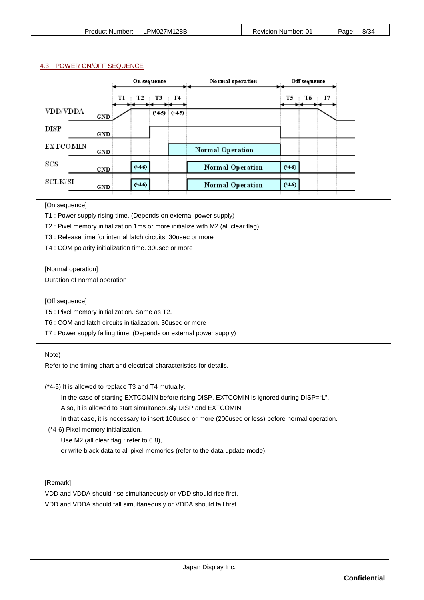#### 4.3 POWER ON/OFF SEQUENCE

|                 |                   | On sequence |                                | Normal operation | Off sequence   |
|-----------------|-------------------|-------------|--------------------------------|------------------|----------------|
| VDD/VDDA        |                   | Tl<br>T2    | T4<br>T3<br>$(*45)$<br>$(*45)$ |                  | T5<br>T7<br>T6 |
| DISP            | GND<br><b>GND</b> |             |                                |                  |                |
| <b>EXTCOMIN</b> | <b>GND</b>        |             |                                | Normal Operation |                |
| SCS             | <b>GND</b>        | $(*46)$     |                                | Normal Operation | $(*46)$        |
| <b>SCLK/SI</b>  | GND               | $(*46)$     |                                | Normal Operation | $(*46)$        |

[On sequence]

T1 : Power supply rising time. (Depends on external power supply)

T2 : Pixel memory initialization 1ms or more initialize with M2 (all clear flag)

T3 : Release time for internal latch circuits. 30usec or more

T4 : COM polarity initialization time. 30usec or more

[Normal operation]

Duration of normal operation

[Off sequence]

T5 : Pixel memory initialization. Same as T2.

T6 : COM and latch circuits initialization. 30usec or more

T7 : Power supply falling time. (Depends on external power supply)

Note)

Refer to the timing chart and electrical characteristics for details.

(\*4-5) It is allowed to replace T3 and T4 mutually.

In the case of starting EXTCOMIN before rising DISP, EXTCOMIN is ignored during DISP="L".

Also, it is allowed to start simultaneously DISP and EXTCOMIN.

In that case, it is necessary to insert 100usec or more (200usec or less) before normal operation.

(\*4-6) Pixel memory initialization.

Use M2 (all clear flag : refer to 6.8),

or write black data to all pixel memories (refer to the data update mode).

[Remark]

VDD and VDDA should rise simultaneously or VDD should rise first.

VDD and VDDA should fall simultaneously or VDDA should fall first.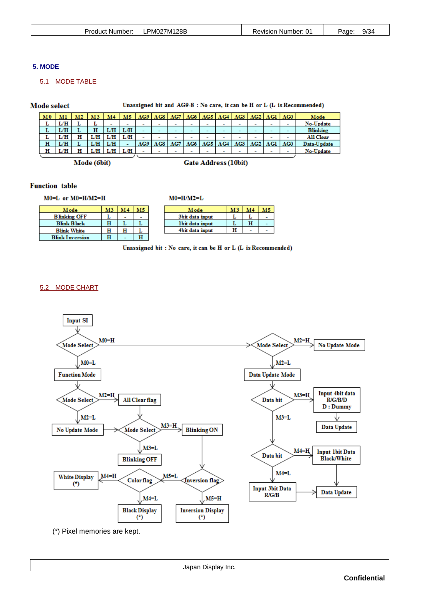# **5. MODE**

# 5.1 MODE TABLE

Mode select

Unassigned bit and AG9-8 : No care, it can be H or L (L is Recommended)

| $_{\rm M0}$ | мı    | M2 | M3. | M4  | M5.                      | AG9                      | AG8                      | AG7                      | AG6                      | AG5    | AG4                      | AG3                      | AG2                      | AG1                      | AG0                      | Mode            |
|-------------|-------|----|-----|-----|--------------------------|--------------------------|--------------------------|--------------------------|--------------------------|--------|--------------------------|--------------------------|--------------------------|--------------------------|--------------------------|-----------------|
| L           | L/H   |    |     | ۰   | $\overline{\phantom{a}}$ | $\overline{\phantom{a}}$ | $\overline{\phantom{a}}$ | $\overline{\phantom{a}}$ | ۰                        | ۰      | ۰                        | ۰                        | ۰                        | ۰                        | ۰                        | No-Update       |
| L           | L/H   |    | н   | L/H | LЛ                       | $\overline{\phantom{a}}$ | -                        | $\overline{\phantom{a}}$ | $\overline{\phantom{a}}$ | -      | -                        | -                        | -                        | $\overline{\phantom{a}}$ | $\overline{\phantom{0}}$ | <b>Blinking</b> |
| L           | L/H   | н  | L/H | L/H | L/H                      | $\overline{\phantom{a}}$ | $\overline{\phantom{a}}$ | -                        | $\overline{\phantom{a}}$ | -      | $\overline{\phantom{a}}$ | $\overline{\phantom{a}}$ | $\overline{\phantom{0}}$ | $\blacksquare$           | $\overline{\phantom{a}}$ | All Clear       |
| н           | L/H / |    | L/H | LÆ  | $\sim$                   | AG9                      | AG8                      | AG7                      | AG6                      | AC5    | AG4                      | AC3                      | AC2                      | <b>AG1</b>               | AG0                      | Data-Update     |
| н           | ΊH    | н  | ЛH  | L/H | LÆ                       |                          | $\sim$                   | $\sim$                   | $\sim$                   | $\sim$ | $\sim$                   | $\overline{\phantom{a}}$ | $\overline{\phantom{a}}$ | $\sim$                   | $\sim$                   | No-Update       |
|             |       |    |     |     |                          |                          |                          |                          |                          |        |                          |                          |                          |                          |                          |                 |

 $M0=H/M2=L$ 

Mode (6bit)

**Gate Address (10bit)** 

# **Function** table

 $M0=L$  or  $M0=H/M2=H$ 

| M3 | $\overline{M4}$ | MБ |
|----|-----------------|----|
|    |                 |    |
| н  |                 |    |
| н  | н               |    |
| н  |                 | н  |
|    |                 |    |

| M ode           | MЗ | M4 |  |
|-----------------|----|----|--|
| 3bit data input |    |    |  |
| Ibit data input |    | н  |  |
| 4bit data input |    |    |  |

Unassigned bit: No care, it can be H or L (L is Recommended)

# 5.2 MODE CHART



(\*) Pixel memories are kept.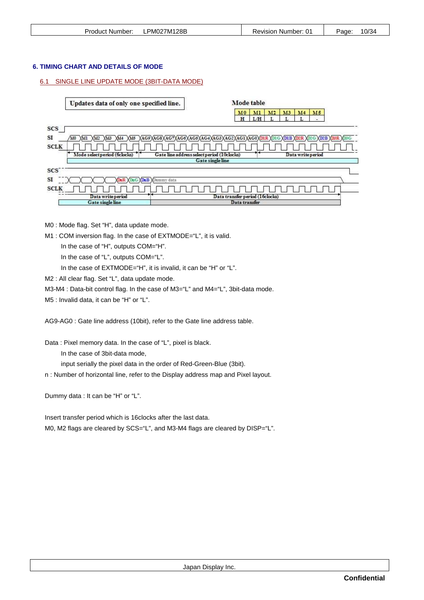| Product Number: | LPM027M128B | <b>Revision Number: 01</b> | 10/34<br>Page: |
|-----------------|-------------|----------------------------|----------------|
|                 |             |                            |                |

#### **6. TIMING CHART AND DETAILS OF MODE**

#### 6.1 SINGLE LINE UPDATE MODE (3BIT-DATA MODE)

Mode table Updates data of only one specified line. M0 MI M2 M3  $M<sub>4</sub>$ M5  $H$  L/H  $\mathbf{L}$  $\mathbf{T}$ T. SCS [  $SI$ ЛЮ ДЛГ ДЛ2 ДЛ3 ДЛ4 ДЛ5 Д4С9Д4С8Д4С7Д4С6Д4С5Д4С4Д4С3Д4С2Д4С2Д4С0ДД1R ДDIC ДDIB ДD2R ДD2B ДD2B ДD3B Д **SCLK** Gate line address select period (10clocks) Mode select period (belocks) Data write period Gate single line **SCS**  $SI$ DuR XDuG XDuB XDummy data **SCLK**  $\sqrt{1}$ Ð Τ Τ T I Data transfer period (16clocks) Data write period Gate single Data transf

M0 : Mode flag. Set "H", data update mode.

M1 : COM inversion flag. In the case of EXTMODE="L", it is valid.

In the case of "H", outputs COM="H".

In the case of "L", outputs COM="L".

In the case of EXTMODE="H", it is invalid, it can be "H" or "L".

M2 : All clear flag. Set "L", data update mode.

M3-M4 : Data-bit control flag. In the case of M3="L" and M4="L", 3bit-data mode.

M5 : Invalid data, it can be "H" or "L".

AG9-AG0 : Gate line address (10bit), refer to the Gate line address table.

Data : Pixel memory data. In the case of "L", pixel is black.

In the case of 3bit-data mode,

input serially the pixel data in the order of Red-Green-Blue (3bit).

n : Number of horizontal line, refer to the Display address map and Pixel layout.

Dummy data : It can be "H" or "L".

Insert transfer period which is 16clocks after the last data. M0, M2 flags are cleared by SCS="L", and M3-M4 flags are cleared by DISP="L".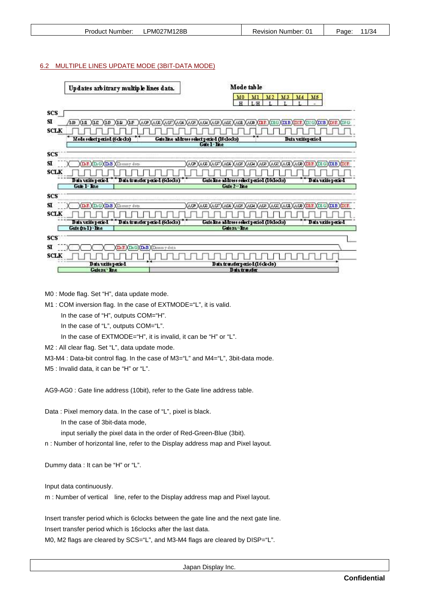| Product Number: | PM027M128B | Revision Number: 01 | 1/34<br>Page <sup>.</sup><br>- |
|-----------------|------------|---------------------|--------------------------------|
|-----------------|------------|---------------------|--------------------------------|

#### 6.2 MULTIPLE LINES UPDATE MODE (3BIT-DATA MODE)

| Updates arbitrary multiple lines data.                                     | Mode table                                                                                                               |
|----------------------------------------------------------------------------|--------------------------------------------------------------------------------------------------------------------------|
|                                                                            | M3<br>M <sub>2</sub><br>M <sub>4</sub><br>M5<br>M1<br>M0<br>L <sub>H</sub><br>H                                          |
| SCS                                                                        |                                                                                                                          |
| ST.<br>XLF<br>LD.<br>XLA XLC<br>XLB<br>X L L                               | Xaob Xaob Xaof Xaos Xaos Xaog Xaob Xaob Xaob Xaob X <del>ilir Xing Xinib Xinir</del><br><b>XDBR XDBG</b><br><b>GXDIB</b> |
| SCLK                                                                       |                                                                                                                          |
| Gateline address select period (10 docks)<br>Mode select period (6 do des) | <b>Data vaiteperiod</b>                                                                                                  |
|                                                                            | Gate 1 line                                                                                                              |
| SCS                                                                        |                                                                                                                          |
| SI.<br>D.R. XD. G XD.B XDimmy data                                         | KAOP XAOE XAOF XAOE XAOE XAOE XAOE XAOE XAOE XAO XIDUR XIDUG XIDUB XIDUR                                                 |
| SCLK                                                                       |                                                                                                                          |
| Data varite period<br>Data transfer period (6docks)                        | Gate Ine address select period (10dods)<br>Data write period                                                             |
| Game 1 Inne                                                                | Gate 2 <sup>-1</sup> Inc.                                                                                                |
| SCS                                                                        |                                                                                                                          |
| SІ<br>(D.B<br>Dummy data<br>D                                              | (AG) XAG) XAG7<br>(AGS XAG4 XAG3 XAG2 XAG4 X<br>AC6<br>AD.<br><b>YTIL B</b>                                              |
| SCLK                                                                       |                                                                                                                          |
| Data vantepened<br>Data transfer period (6dodes)<br>Gate (m-1) Ene         | Data write period<br>Gateline address select period (10docks)<br>Getern Ine                                              |
|                                                                            |                                                                                                                          |
| SCS                                                                        |                                                                                                                          |
| SI<br>$D_0 G X D_0 B$<br><b>XDunn</b> y data                               |                                                                                                                          |
| SCLK                                                                       |                                                                                                                          |
| Data write period<br>Gatem Ine                                             | Data transferperiod (16 do ds)<br>Data transfer                                                                          |
|                                                                            |                                                                                                                          |

M0 : Mode flag. Set "H", data update mode.

M1 : COM inversion flag. In the case of EXTMODE="L", it is valid.

In the case of "H", outputs COM="H".

In the case of "L", outputs COM="L".

In the case of EXTMODE="H", it is invalid, it can be "H" or "L".

M2 : All clear flag. Set "L", data update mode.

M3-M4 : Data-bit control flag. In the case of M3="L" and M4="L", 3bit-data mode.

M5 : Invalid data, it can be "H" or "L".

AG9-AG0 : Gate line address (10bit), refer to the Gate line address table.

Data : Pixel memory data. In the case of "L", pixel is black.

In the case of 3bit-data mode,

input serially the pixel data in the order of Red-Green-Blue (3bit).

n : Number of horizontal line, refer to the Display address map and Pixel layout.

Dummy data : It can be "H" or "L".

Input data continuously.

m : Number of vertical line, refer to the Display address map and Pixel layout.

Insert transfer period which is 6clocks between the gate line and the next gate line. Insert transfer period which is 16clocks after the last data.

M0, M2 flags are cleared by SCS="L", and M3-M4 flags are cleared by DISP="L".

Japan Display Inc.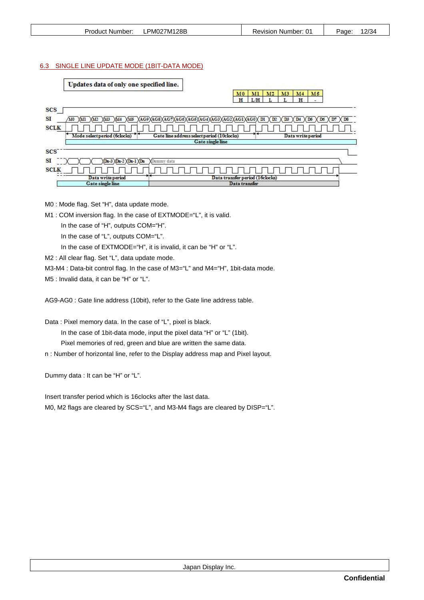| Product Number: | LPM027M128B | <b>Revision Number: 01</b> | 12/34<br>Page: |
|-----------------|-------------|----------------------------|----------------|
|                 |             |                            |                |

#### 6.3 SINGLE LINE UPDATE MODE (1BIT-DATA MODE)

Updates data of only one specified line.

M0 M1 M2 M3 M4  $M<sub>5</sub>$  $L$ 

| <b>SCS</b>                    |                                               |                                                                                                          |
|-------------------------------|-----------------------------------------------|----------------------------------------------------------------------------------------------------------|
| SI<br>MO<br>XM5               | XAG9XAG8XAG7XAG6XAG5XAG4XAG3XAG2XAG1XAG0XD1 X | $X$ D <sub>5</sub> $X$ D <sub>6</sub><br>$X$ <sub>D7</sub><br>$X$ D <sub>8</sub><br>D2<br>D3<br>$X_{D4}$ |
| <b>SCLK</b>                   |                                               |                                                                                                          |
| Mode select period (6clocks)  | Gate line address select period (10clocks)    | Data write period                                                                                        |
|                               | Gate single line                              |                                                                                                          |
| <b>SCS</b>                    |                                               |                                                                                                          |
| SI<br>$NDn-3 \Dn-2 \Dn-1 \Dn$ | <b>XDummy</b> data                            |                                                                                                          |
| <b>SCLK</b>                   |                                               |                                                                                                          |
| Data write period             | Data transfer period (16clocks)               |                                                                                                          |
| <b>Gate single line</b>       | Data transfer                                 |                                                                                                          |

M0 : Mode flag. Set "H", data update mode.

M1 : COM inversion flag. In the case of EXTMODE="L", it is valid.

In the case of "H", outputs COM="H".

- In the case of "L", outputs COM="L".
- In the case of EXTMODE="H", it is invalid, it can be "H" or "L".
- M2 : All clear flag. Set "L", data update mode.
- M3-M4 : Data-bit control flag. In the case of M3="L" and M4="H", 1bit-data mode.
- M5 : Invalid data, it can be "H" or "L".

AG9-AG0 : Gate line address (10bit), refer to the Gate line address table.

Data : Pixel memory data. In the case of "L", pixel is black.

In the case of 1bit-data mode, input the pixel data "H" or "L" (1bit).

Pixel memories of red, green and blue are written the same data.

n : Number of horizontal line, refer to the Display address map and Pixel layout.

Dummy data : It can be "H" or "L".

Insert transfer period which is 16clocks after the last data. M0, M2 flags are cleared by SCS="L", and M3-M4 flags are cleared by DISP="L".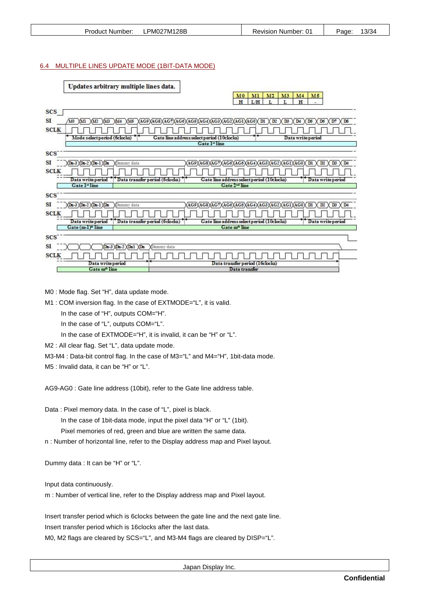| <b>Product Number:</b> | LPM027M128B | <b>Revision Number: 01</b> | 13/34<br>Page: |
|------------------------|-------------|----------------------------|----------------|
|                        |             |                            |                |

#### 6.4 MULTIPLE LINES UPDATE MODE (1BIT-DATA MODE)

| Updates arbitrary multiple lines data.                            |                                                                                           |
|-------------------------------------------------------------------|-------------------------------------------------------------------------------------------|
|                                                                   | M2<br>M <sub>3</sub><br>M <sub>0</sub><br>MI<br>M <sub>4</sub><br>M5<br>H<br>L/H<br>H     |
|                                                                   | -                                                                                         |
| <b>SCS</b><br>SI<br>A0                                            | D <sub>2</sub><br>D7<br>D <sub>8</sub>                                                    |
| XAG9<br>(M5<br>nк<br>M2<br><b>SCLK</b>                            | XAG8XAG7XAG6XAG5XAG4XAG3XAG2XAG1XAG0<br>DI<br>DS<br>D <sub>6</sub><br>D <sub>4</sub><br>œ |
| Mode select period (6clocks)                                      | Gate line address select period (10clocks)<br>Data write period                           |
|                                                                   | Gate l" line                                                                              |
| <b>SCS</b>                                                        |                                                                                           |
| SI<br>$\chi$ Du-3 $\chi$ Du-2 $\chi$ Du-1 $\chi$ Du<br>Dummy data | (АС9)(АС8)(АС7)(АС6)(АС5)(АС4)(АС3)(АС2<br>AG0<br>XAGI<br>DI<br>D3                        |
| <b>SCLK</b>                                                       |                                                                                           |
| Data transfer period (6 docks)<br>Data write period               | Gate line address select period (10clocks)<br>Data write period                           |
| Gate l" line                                                      | Gate 2 <sup>ed</sup> line                                                                 |
| <b>SCS</b>                                                        |                                                                                           |
| <b>SI</b><br>$NDu-3 \n  NDu-2 \n  NDu-1 \n  NDu$<br>Dummy data    | AG9XAG8XAG7XAG6XAG5XAG4XAG3XAG2XAG1<br>'AG0<br>D)<br>н                                    |
| <b>SCLK</b>                                                       |                                                                                           |
| Data transfer period (6 docks)<br>Data write period               | Gate line address select period (10clocks)<br>Data write period                           |
| Gate (m-1) <sup>+</sup> line                                      | Gate m <sup>*</sup> line                                                                  |
| <b>SCS</b>                                                        |                                                                                           |
| <b>SI</b><br>Tn1<br>YDn                                           | Dummy data                                                                                |
| <b>SCLK</b>                                                       |                                                                                           |
| Data write period                                                 | Data transfer period (16clocks)                                                           |
| Gate m <sup>a</sup> line                                          | Data transfer                                                                             |

M0 : Mode flag. Set "H", data update mode.

M1 : COM inversion flag. In the case of EXTMODE="L", it is valid.

In the case of "H", outputs COM="H".

In the case of "L", outputs COM="L".

In the case of EXTMODE="H", it is invalid, it can be "H" or "L".

M2 : All clear flag. Set "L", data update mode.

M3-M4 : Data-bit control flag. In the case of M3="L" and M4="H", 1 bit-data mode.

M5 : Invalid data, it can be "H" or "L".

AG9-AG0 : Gate line address (10bit), refer to the Gate line address table.

Data : Pixel memory data. In the case of "L", pixel is black.

In the case of 1bit-data mode, input the pixel data "H" or "L" (1bit).

Pixel memories of red, green and blue are written the same data.

n : Number of horizontal line, refer to the Display address map and Pixel layout.

Dummy data : It can be "H" or "L".

Input data continuously.

m : Number of vertical line, refer to the Display address map and Pixel layout.

Insert transfer period which is 6clocks between the gate line and the next gate line. Insert transfer period which is 16clocks after the last data. M0, M2 flags are cleared by SCS="L", and M3-M4 flags are cleared by DISP="L".

Japan Display Inc.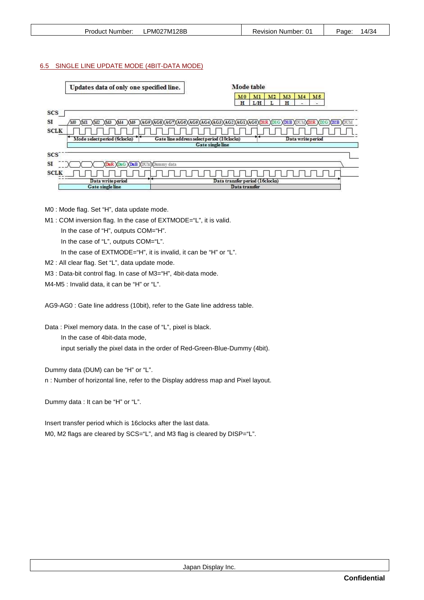| Product Number: | PM027M128B | Revision Number: 01 | 14/34<br>Page: |
|-----------------|------------|---------------------|----------------|
|                 |            |                     |                |

#### 6.5 SINGLE LINE UPDATE MODE (4BIT-DATA MODE)

|      | Updates data of only one specified line. |                                                             |                                            |                                 | Mode table |    |         |                   |                                |                           |  |
|------|------------------------------------------|-------------------------------------------------------------|--------------------------------------------|---------------------------------|------------|----|---------|-------------------|--------------------------------|---------------------------|--|
|      |                                          |                                                             |                                            | M <sub>0</sub><br>H             | M<br>L/H   | M2 | M3<br>H | M <sub>4</sub>    | M5<br>$\overline{\phantom{0}}$ |                           |  |
| scs  |                                          |                                                             |                                            |                                 |            |    |         |                   |                                |                           |  |
| SI   | XMS<br>MO<br>XM2<br>XMS<br>ли<br>M4      | XAG9XAG8XAG7XAG6XAG5XAG4XAG3XAG2XAG1XAG0XDIR XDIG XDIB XDUM |                                            |                                 |            |    |         |                   |                                | <b>O2R YDIG YDIB YDUM</b> |  |
| SCLK |                                          |                                                             |                                            |                                 |            |    |         |                   |                                |                           |  |
|      | Mode select period (6 clocks)            |                                                             | Gate line address select period (10clocks) |                                 |            |    |         | Data write period |                                |                           |  |
|      |                                          |                                                             | Gate single line                           |                                 |            |    |         |                   |                                |                           |  |
| scs  |                                          |                                                             |                                            |                                 |            |    |         |                   |                                |                           |  |
| SΙ   | <b>XDuG XDuB XDUMXDummy data</b>         |                                                             |                                            |                                 |            |    |         |                   |                                |                           |  |
| SCLK |                                          |                                                             |                                            |                                 |            |    |         |                   |                                |                           |  |
|      | Data write period                        |                                                             |                                            | Data transfer period (16clocks) |            |    |         |                   |                                |                           |  |
|      | Gate single line                         |                                                             |                                            | Data transfer                   |            |    |         |                   |                                |                           |  |

M0 : Mode flag. Set "H", data update mode.

M1 : COM inversion flag. In the case of EXTMODE="L", it is valid.

In the case of "H", outputs COM="H".

In the case of "L", outputs COM="L".

In the case of EXTMODE="H", it is invalid, it can be "H" or "L".

M2 : All clear flag. Set "L", data update mode.

M3 : Data-bit control flag. In case of M3="H", 4bit-data mode.

M4-M5 : Invalid data, it can be "H" or "L".

AG9-AG0 : Gate line address (10bit), refer to the Gate line address table.

Data : Pixel memory data. In the case of "L", pixel is black.

In the case of 4bit-data mode,

input serially the pixel data in the order of Red-Green-Blue-Dummy (4bit).

Dummy data (DUM) can be "H" or "L".

n : Number of horizontal line, refer to the Display address map and Pixel layout.

Dummy data : It can be "H" or "L".

Insert transfer period which is 16clocks after the last data. M0, M2 flags are cleared by SCS="L", and M3 flag is cleared by DISP="L".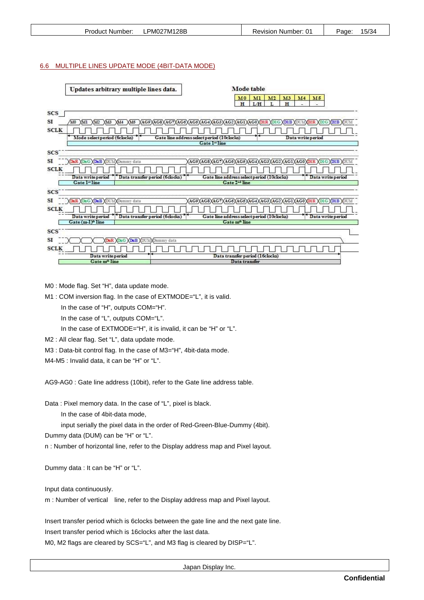#### 6.6 MULTIPLE LINES UPDATE MODE (4BIT-DATA MODE)

| Updates arbitrary multiple lines data.               | Mode table                                                               |
|------------------------------------------------------|--------------------------------------------------------------------------|
|                                                      | M2<br>M3<br>M <sub>4</sub><br>M5<br>M <sub>0</sub><br>MI                 |
|                                                      | H<br>H<br>LH                                                             |
| <b>SCS</b>                                           |                                                                          |
| SI<br>XM5<br>Y0<br>YМ<br>M4<br>$X\Lambda$ 12<br>XM3  | XAG9XAG8XAG7XAG6XAG5XAG4XAG3XAG2XAG1XAG0XD1R XD1G XD1B XDU<br><b>D2B</b> |
| <b>SCLK</b>                                          |                                                                          |
| Mode select period (6clocks)                         | Gate line address select period (10clocks)<br>Data write period          |
|                                                      | Gate l" line                                                             |
| <b>SCS</b>                                           |                                                                          |
| SI<br>DaG XDaB XDUMXDummy data                       | AG9<br>AG8<br>AC7<br>AC<br>פ ומ<br>AC6<br>AG5                            |
| <b>SCLK</b>                                          |                                                                          |
| Data transfer period (6 clocks)<br>Data write period | Gate line address select period (10clocks)<br>Data write period          |
| Gate l"line                                          | Gate 2 <sup>-</sup> line                                                 |
| <b>SCS</b>                                           |                                                                          |
| SI<br>DuG XDuB XDUMXDummy data                       | AC9                                                                      |
| <b>SCLK</b>                                          |                                                                          |
| Data transfer period (6 docks)<br>Data write period  | Gate line address select period (10clocks)<br>Data write period          |
| Gate (m-I) <sup>o</sup> line                         | Gate m <sup>®</sup> line                                                 |
| <b>SCS</b>                                           |                                                                          |
| <b>SI</b><br><b>DuB XDUM</b> Dummy data              |                                                                          |
| <b>SCLK</b>                                          |                                                                          |
| Data write period                                    | Data transfer period (16 clocks)                                         |
| Gate m <sup>a</sup> line                             | Data transfer                                                            |

M0 : Mode flag. Set "H", data update mode.

M1 : COM inversion flag. In the case of EXTMODE="L", it is valid.

In the case of "H", outputs COM="H".

In the case of "L", outputs COM="L".

In the case of EXTMODE="H", it is invalid, it can be "H" or "L".

M2 : All clear flag. Set "L", data update mode.

M3 : Data-bit control flag. In the case of M3="H", 4bit-data mode.

M4-M5 : Invalid data, it can be "H" or "L".

AG9-AG0 : Gate line address (10bit), refer to the Gate line address table.

Data : Pixel memory data. In the case of "L", pixel is black.

In the case of 4bit-data mode,

input serially the pixel data in the order of Red-Green-Blue-Dummy (4bit).

Dummy data (DUM) can be "H" or "L".

n : Number of horizontal line, refer to the Display address map and Pixel layout.

Dummy data : It can be "H" or "L".

Input data continuously.

m : Number of vertical line, refer to the Display address map and Pixel layout.

Insert transfer period which is 6clocks between the gate line and the next gate line. Insert transfer period which is 16clocks after the last data.

M0, M2 flags are cleared by SCS="L", and M3 flag is cleared by DISP="L".

Japan Display Inc.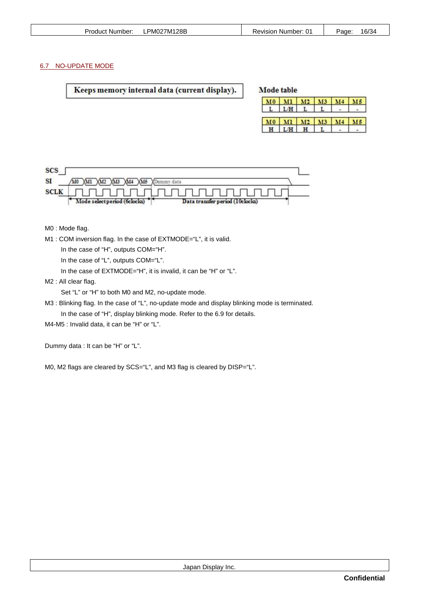| PM027M128B<br>Product Number:<br>ப | Revision Number:⊣ | 16/34<br>Page <sup>-</sup> |
|------------------------------------|-------------------|----------------------------|
|------------------------------------|-------------------|----------------------------|

# 6.7 NO-UPDATE MODE

| Keeps memory internal data (current display). |  | Mode table |                  |  |  |
|-----------------------------------------------|--|------------|------------------|--|--|
|                                               |  |            | M0 M1 M2 M3 M4 1 |  |  |

|                | $M1$ $M2$ $M3$<br>$L/H$ $L$ $L$ |  |
|----------------|---------------------------------|--|
|                |                                 |  |
| $M0$ $M1$ $M2$ | M3                              |  |
|                |                                 |  |

| <b>SCS</b>  |                                                                 |  |
|-------------|-----------------------------------------------------------------|--|
| SI          | XMS<br>$\lambda$ 14 $\lambda$ 15<br>M0<br>XM2                   |  |
| <b>SCLK</b> |                                                                 |  |
|             | Mode select period (6clocks)<br>Data transfer period (10clocks) |  |

M0 : Mode flag.

M1 : COM inversion flag. In the case of EXTMODE="L", it is valid.

In the case of "H", outputs COM="H".

In the case of "L", outputs COM="L".

In the case of EXTMODE="H", it is invalid, it can be "H" or "L".

M2 : All clear flag.

Set "L" or "H" to both M0 and M2, no-update mode.

M3 : Blinking flag. In the case of "L", no-update mode and display blinking mode is terminated. In the case of "H", display blinking mode. Refer to the 6.9 for details.

M4-M5 : Invalid data, it can be "H" or "L".

Dummy data : It can be "H" or "L".

M0, M2 flags are cleared by SCS="L", and M3 flag is cleared by DISP="L".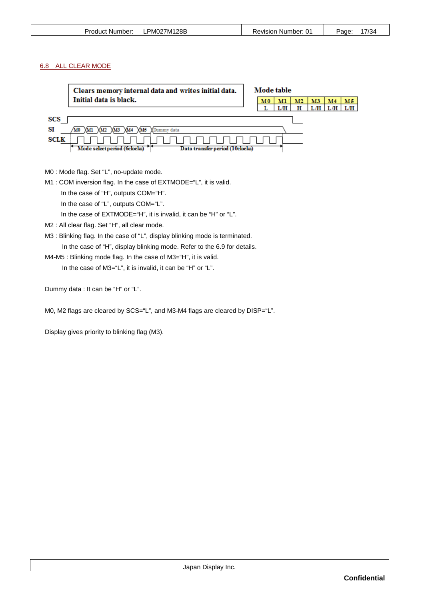| <b>Product Number:</b> | PM027M128B<br>⊷ | Revision Number: 01 | 7/34<br>Page: |
|------------------------|-----------------|---------------------|---------------|
|                        |                 |                     |               |

# 6.8 ALL CLEAR MODE

|             | Clears memory internal data and writes initial data.            | Mode table |    |    |      |    |      |
|-------------|-----------------------------------------------------------------|------------|----|----|------|----|------|
|             | Initial data is black.                                          | M0         | мı | M2 | M3   | M4 | м5   |
|             |                                                                 |            |    | н  | . /H |    | T./H |
| SCS<br>SI   | XM5<br>ummy data                                                |            |    |    |      |    |      |
| <b>SCLK</b> | Mode select period (6clocks)<br>Data transfer period (10clocks) |            |    |    |      |    |      |

M0 : Mode flag. Set "L", no-update mode.

M1 : COM inversion flag. In the case of EXTMODE="L", it is valid.

In the case of "H", outputs COM="H".

In the case of "L", outputs COM="L".

In the case of EXTMODE="H", it is invalid, it can be "H" or "L".

M2 : All clear flag. Set "H", all clear mode.

M3 : Blinking flag. In the case of "L", display blinking mode is terminated. In the case of "H", display blinking mode. Refer to the 6.9 for details.

M4-M5 : Blinking mode flag. In the case of M3="H", it is valid.

In the case of M3="L", it is invalid, it can be "H" or "L".

Dummy data : It can be "H" or "L".

M0, M2 flags are cleared by SCS="L", and M3-M4 flags are cleared by DISP="L".

Display gives priority to blinking flag (M3).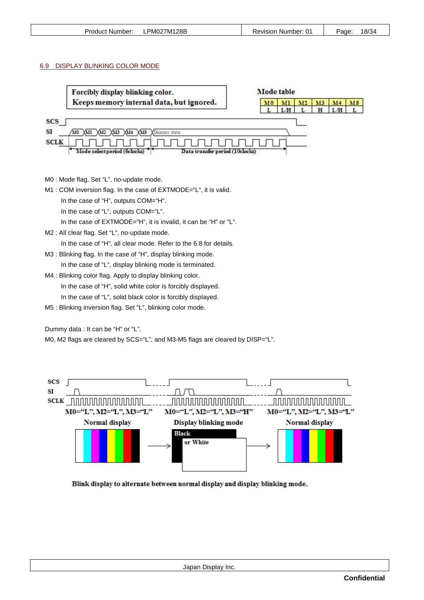| <b>Product Number:</b> | PM027M128B | <b>Revision Number: 01</b> | 18/34<br>Page <sup>-</sup> |
|------------------------|------------|----------------------------|----------------------------|
|                        |            |                            |                            |

#### 6.9 DISPLAY BLINKING COLOR MODE



M0 : Mode flag. Set "L", no-update mode.

M1 : COM inversion flag. In the case of EXTMODE="L", it is valid.

In the case of "H", outputs COM="H".

In the case of "L", outputs COM="L".

In the case of EXTMODE="H", it is invalid, it can be "H" or "L".

M2 : All clear flag. Set "L", no-update mode.

In the case of "H", all clear mode. Refer to the 6.8 for details.

M3 : Blinking flag. In the case of "H", display blinking mode.

In the case of "L", display blinking mode is terminated.

M4 : Blinking color flag. Apply to display blinking color. In the case of "H", solid white color is forcibly displayed. In the case of "L", solid black color is forcibly displayed.

M5 : Blinking inversion flag. Set "L", blinking color mode.

Dummy data : It can be "H" or "L".

M0, M2 flags are cleared by SCS="L", and M3-M5 flags are cleared by DISP="L".



Blink display to alternate between normal display and display blinking mode.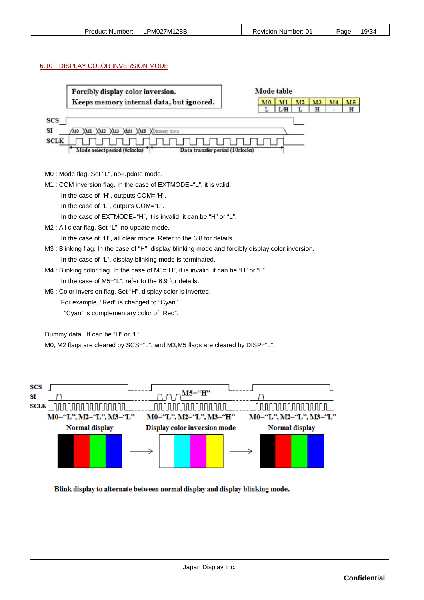#### 6.10 DISPLAY COLOR INVERSION MODE





Blink display to alternate between normal display and display blinking mode.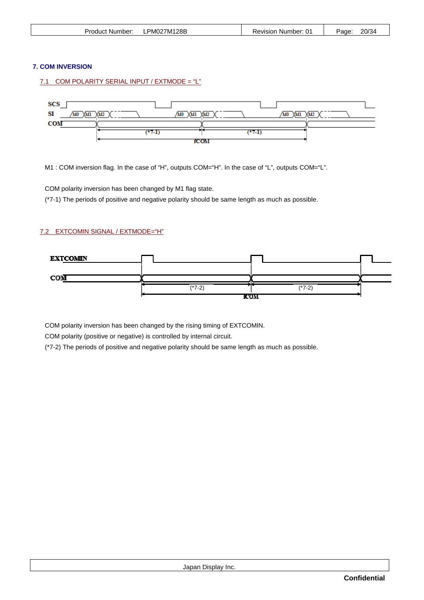| Product Number: | PM027M128B | Revision Number: 01 | 20/34<br>Page: |
|-----------------|------------|---------------------|----------------|
|                 |            |                     |                |

# **7. COM INVERSION**

# 7.1 COM POLARITY SERIAL INPUT / EXTMODE = "L"



M1 : COM inversion flag. In the case of "H", outputs COM="H". In the case of "L", outputs COM="L".

COM polarity inversion has been changed by M1 flag state.

(\*7-1) The periods of positive and negative polarity should be same length as much as possible.

# 7.2 EXTCOMIN SIGNAL / EXTMODE="H"



COM polarity inversion has been changed by the rising timing of EXTCOMIN.

COM polarity (positive or negative) is controlled by internal circuit.

(\*7-2) The periods of positive and negative polarity should be same length as much as possible.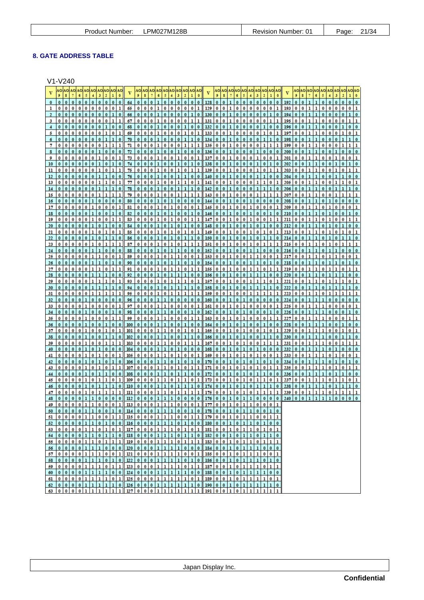# **8. GATE ADDRESS TABLE**

V1-V240

| 6<br>5<br>3                                                                                                                                                 | v<br>9<br>6<br>5<br>$\overline{2}$                                                                                                                                  | 6<br>5<br>3<br>ı                                                                                                                                                          | v<br>9<br>5<br>6<br>$\mathbf{2}$                                                                                                              |
|-------------------------------------------------------------------------------------------------------------------------------------------------------------|---------------------------------------------------------------------------------------------------------------------------------------------------------------------|---------------------------------------------------------------------------------------------------------------------------------------------------------------------------|-----------------------------------------------------------------------------------------------------------------------------------------------|
| $\bf{0}$<br>$\bf{0}$<br>0<br>0<br>$\bf{0}$<br>$\bf{0}$                                                                                                      | $\bf{0}$<br>$\bf{0}$<br>64<br>$\bf{0}$<br>$\bf{0}$<br>$\bf{0}$<br>0<br>0<br>128<br>$\bf{0}$                                                                         | $\mathbf{0}$<br>$\bf{0}$<br>0<br>$\bf{0}$<br>0<br>$\bf{0}$<br>0<br>$\bf{0}$<br>0                                                                                          | 192<br>$\bf{0}$<br>$\bf{0}$<br>$\bf{0}$<br>0<br>$\bf{0}$<br>0<br>$\bf{0}$                                                                     |
| 0<br>$\bf{0}$<br>0<br>0<br>0<br>0<br>0<br>0<br>0<br>ı<br>ı<br>$\bf{0}$<br>$\bf{0}$<br>$\bf{0}$<br>$\bf{0}$                                                  | 65<br>0<br>$\bf{0}$<br>129<br>0<br>$\bf{0}$<br>0<br>ı<br>0<br>0<br>0<br>1<br>$\bf{0}$<br>$\bf{0}$<br>$\bf{0}$<br>$\bf{0}$<br>$\bf{0}$<br>1                          | 0<br>0<br>0<br>ı<br>0<br>0<br>0<br>0<br>0<br>ı<br>$\bf{0}$<br>$\bf{0}$<br>$\bf{0}$<br>1<br>$\bf{0}$<br>1                                                                  | 193<br>0<br>0<br>ı<br>ı<br>0<br>0<br>$\bf{0}$<br>0<br>0<br>л<br>0<br>ı<br>$\bf{0}$<br>$\bf{0}$<br>$\bf{0}$                                    |
| 0<br>$\bf{0}$<br>$\bf{0}$<br>2<br>$\bf{0}$<br>0<br>0<br>0<br>0<br>$\bf{0}$<br>0<br>0<br>3                                                                   | 0<br>$\bf{0}$<br>130<br>66<br>$\bf{0}$<br>67<br>$\bf{0}$<br>$\bf{0}$<br>0<br>0<br>0<br>$\bf{0}$<br>ı<br>131<br>$\bf{0}$<br>1                                        | $\bf{0}$<br>0<br>$\bf{0}$<br>$\bf{0}$<br>0<br>ı<br>0<br>0<br>0<br>0<br>0<br>0<br>ı                                                                                        | 194<br>$\bf{0}$<br>$\bf{0}$<br>0<br>195<br>0<br>ı<br>$\bf{0}$<br>$\bf{0}$<br>$\bf{0}$<br>$\bf{0}$<br>0                                        |
| $\bf{0}$<br>0<br>0<br>$\bf{0}$<br>0<br>0<br>$\bf{0}$<br>ı<br>0<br>$\bf{0}$<br>4                                                                             | $\bf{0}$<br>$\bf{0}$<br>$\bf{0}$<br>132<br>68<br>0<br>$\bf{0}$<br>ı<br>0<br>0<br>1<br>$\bf{0}$                                                                      | $\bf{0}$<br>0<br>0<br>0<br>ı<br>0<br>0<br>0<br>ı<br>$\bf{0}$                                                                                                              | 196<br>ı<br>$\bf{0}$<br>0<br>1<br>$\bf{0}$<br>0<br>1<br>0<br>$\bf{0}$<br>$\bf{0}$                                                             |
| 0<br>5<br>0<br>0<br>0<br>$\bf{0}$<br>$\bf{0}$<br>0<br>ı<br>$\bf{0}$<br>$\bf{0}$<br>$\bf{0}$<br>$\bf{0}$<br>$\bf{0}$<br>б                                    | 69<br>0<br>0<br>$\bf{0}$<br>133<br>0<br>0<br>1<br>0<br>0<br>ı<br>ı<br>$\bf{0}$<br>134<br>70<br>0<br>0<br>ı<br>$\bf{0}$                                              | 0<br>0<br>0<br>0<br>0<br>0<br>ı<br>0<br>0                                                                                                                                 | 197<br>0<br>$\bf{0}$<br>ı<br>$\bf{0}$<br>ı<br>1<br>0<br>ı<br>0<br>0<br>198<br>$\bf{0}$<br>0<br>$\bf{0}$                                       |
| $\bf{0}$<br>0<br>0<br>0<br>$\bf{0}$<br>ı<br>ı<br>7<br>$\bf{0}$<br>0                                                                                         | 71<br>$\bf{0}$<br>0<br>$\bf{0}$<br>0<br>ı<br>ı<br>1<br>135<br>0<br>0<br>ı                                                                                           | 0<br>ı<br>$\bf{0}$<br>ı<br>0<br>0<br>0<br>0<br>ı<br>ı                                                                                                                     | 199<br>$\bf{0}$<br>ı<br>ı<br>0<br>$\bf{0}$<br>1<br>ı<br>0<br>0                                                                                |
| 8<br>0<br>$\bf{0}$<br>0<br>$\bf{0}$<br>$\bf{0}$<br>$\bf{0}$<br>0<br>0<br>0<br>0<br>1<br>0<br>9<br>0<br>$\bf{0}$<br>$\bf{0}$                                 | 72<br>$\bf{0}$<br>$\bf{0}$<br>$\bf{0}$<br>$\bf{0}$<br>$\bf{0}$<br>136<br>$\bf{0}$<br>73<br>137<br>0<br>0<br>0<br>0<br>0<br>1<br>0<br>0<br>ı<br>ı                    | 0<br>0<br>$\bf{0}$<br>0<br>ı<br>0<br>0<br>0<br>0<br>$\bf{0}$<br>ı<br>0<br>ı                                                                                               | 200<br>0<br>ı<br>$\bf{0}$<br>$\bf{0}$<br>$\bf{0}$<br>$\bf{0}$<br>201<br>0<br>ı<br>ı<br>$\bf{0}$<br>0<br>ı<br>0<br>$\bf{0}$<br>ı<br>$\bf{0}$   |
| 0<br>$\bf{0}$<br>0<br>0<br>$\bf{0}$<br>1<br>$\bf{0}$<br>10<br>$\bf{0}$<br>1<br>0                                                                            | 74<br>$\bf{0}$<br>138<br>$\bf{0}$<br>$\bf{0}$<br>0<br>0<br>$\bf{0}$<br>ı<br>$\bf{0}$<br>1<br>ı                                                                      | 0<br>0<br>ı<br>0<br>0<br>ı<br>$\bf{0}$<br>$\bf{0}$<br>ı<br>0                                                                                                              | 202<br>0<br>1<br>ı<br>0<br>$\bf{0}$<br>1<br>0<br>ı<br>$\bf{0}$<br>0                                                                           |
| $\bf{0}$<br>0<br>0<br>0<br>$\bf{0}$<br>0<br>11<br>$\bf{0}$<br>1<br>ı<br>ı<br>$\bf{0}$                                                                       | 75<br>$\bf{0}$<br>0<br>0<br>0<br>ı<br>$\bf{0}$<br>ı<br>1<br>139<br>$\bf{0}$<br>ı<br>$\bf{0}$<br>$\bf{0}$<br>1                                                       | $\bf{0}$<br>0<br>ı<br>0<br>0<br>0<br>ı<br>0<br>ı<br>ı<br>$\bf{0}$<br>0                                                                                                    | 203<br>$\bf{0}$<br>ı<br>0<br>$\bf{0}$<br>1<br>0<br>$\bf{0}$<br>ı<br>$\bf{0}$                                                                  |
| 0<br>$\bf{0}$<br>12<br>0<br>0<br>0<br>0<br>0<br>$\bf{0}$<br>ı<br>ı<br>13<br>0<br>0<br>0<br>ı                                                                | 76<br>0<br>$\bf{0}$<br>140<br>$\bf{0}$<br>$\bf{0}$<br>ı<br>ı<br>77<br>0<br>0<br>ı<br>$\bf{0}$<br>141<br>$\bf{0}$<br>$\bf{0}$<br>0<br>ı<br>ı                         | 0<br>$\bf{0}$<br>0<br>$\bf{0}$<br>$\bf{0}$<br>$\bf{0}$<br>0<br>0<br>ı<br>0<br>0<br>ı<br>0<br>ı<br>ı                                                                       | 204<br>0<br>$\bf{0}$<br>$\bf{0}$<br>205<br>0<br>ı<br>ı<br>0<br>ı<br>ı<br>ı<br>0<br>0<br>0                                                     |
| $\bf{0}$<br>0<br>$\bf{0}$<br>$\bf{0}$                                                                                                                       | 78<br>0<br>142<br>0<br>1<br>0                                                                                                                                       | $\bf{0}$<br>$\bf{0}$<br>n<br>$\bf{0}$                                                                                                                                     | 206<br>$\bf{0}$<br>$\bf{0}$<br>0<br>0                                                                                                         |
| 15<br>$\bf{0}$<br>0<br>0<br>0<br>$\bf{0}$<br>$\bf{0}$<br>$\bf{0}$<br>16<br>0<br>$\bf{0}$<br>0<br>$\bf{0}$<br>1<br>0<br>0<br>0                               | 79<br>0<br>ı<br>143<br>$\bf{0}$<br>0<br>0<br>0<br>ı<br>1<br>$\bf{0}$<br>80<br>$\bf{0}$<br>$\bf{0}$<br>1<br>$\bf{0}$<br>ı<br>$\bf{0}$<br>$\bf{0}$<br>$\bf{0}$<br>144 | $\bf{0}$<br>0<br>0<br>0<br>0<br>ı<br>ı<br>$\bf{0}$<br>0<br>1<br>$\bf{0}$<br>$\bf{0}$<br>1<br>0<br>$\bf{0}$<br>$\bf{0}$<br>0                                               | 207<br>$\bf{0}$<br>0<br>0<br>0<br>ı<br>208<br>$\bf{0}$<br>$\bf{0}$<br>1<br>ı<br>$\bf{0}$<br>ı<br>$\bf{0}$<br>$\bf{0}$<br>$\bf{0}$<br>$\bf{0}$ |
| $\bf{0}$<br>0<br>0<br>$\bf{0}$<br>0<br>ı<br>0<br>$\bf{0}$<br>17                                                                                             | 81<br>$\bf{0}$<br>$\bf{0}$<br>0<br>п<br>0<br>0<br>1<br>145<br>$\bf{0}$                                                                                              | 0<br>0<br>ı<br>$\bf{0}$<br>$\bf{0}$<br>$\bf{0}$<br>0                                                                                                                      | 209<br>0<br>$\bf{0}$<br>1<br>ı<br>ı<br>$\bf{0}$<br>0<br>$\bf{0}$<br>0                                                                         |
| 18<br>0<br>$\bf{0}$<br>$\bf{0}$<br>$\bf{0}$<br>$\bf{0}$<br>19<br>$\bf{0}$<br>$\bf{0}$<br>0<br>$\bf{0}$<br>$\bf{0}$<br>0<br>$\bf{0}$<br>ı<br>ı<br>ı          | 82<br>0<br>ı<br>146<br>$\bf{0}$<br>0<br>$\bf{0}$<br>83<br>147<br>$\bf{0}$<br>$\bf{0}$<br>$\bf{0}$<br>ı<br>$\bf{0}$<br>ı<br>0<br>$\bf{0}$<br>ı<br>1                  | $\bf{0}$<br>0<br>$\bf{0}$<br>0<br>$\bf{0}$<br>0<br>$\bf{0}$<br>$\bf{0}$<br>$\bf{0}$<br>ı<br>$\bf{0}$<br>ı<br>$\bf{0}$<br>0<br>ı<br>ı                                      | 210<br>$\bf{0}$<br>$\bf{0}$<br>0<br>0<br>$\bf{0}$<br>211<br>$\bf{0}$<br>0<br>$\bf{0}$<br>ı<br>ı<br>$\bf{0}$<br>ı<br>$\bf{0}$<br>ı<br>ı        |
| $\bf{0}$<br>$\bf{0}$<br>20<br>$\bf{0}$<br>0<br>0<br>1<br>$\bf{0}$<br>0                                                                                      | 0<br>$\bf{0}$<br>$\bf{0}$<br>84<br>$\bf{0}$<br>$\bf{0}$<br>0<br>0<br>148                                                                                            | $\bf{0}$<br>$\bf{0}$<br>ı<br>0<br>0<br>1<br>$\bf{0}$<br>0<br>0                                                                                                            | 212<br>ı<br>0<br>0<br>1<br>$\bf{0}$<br>1<br>$\bf{0}$<br>$\bf{0}$                                                                              |
| 0<br>0<br>$\bf{0}$<br>0<br>21<br>$\bf{0}$<br>$\bf{0}$<br>0<br>0<br>0<br>$\bf{0}$                                                                            | 85<br>0<br>0<br>$\bf{0}$<br>149<br>86<br>150<br>$\bf{0}$<br>0<br>٦<br>0<br>1<br>0                                                                                   | $\bf{0}$<br>0<br>0<br>$\bf{0}$<br>0<br>0<br>0<br>0<br>0<br>0<br>$\bf{0}$<br>0                                                                                             | 213<br>0<br>ı<br>0<br>$\bf{0}$<br>0<br>214<br>0<br>0<br>$\bf{0}$<br>$\bf{0}$                                                                  |
| 22<br>0<br>0<br>0<br>0<br>23<br>0<br>0                                                                                                                      | 87<br>$\bf{0}$<br>0<br>ı<br>151<br>0<br>$\bf{0}$<br>0<br>ı<br>ı<br>п                                                                                                | $\bf{0}$<br>0<br>ı<br>$\bf{0}$<br>0<br>$\bf{0}$<br>ı                                                                                                                      | 215<br>$\bf{0}$<br>$\bf{0}$<br>0<br>$\bf{0}$<br>ı<br>ı                                                                                        |
| $\bf{0}$<br>0<br>0<br>0<br>0<br>24                                                                                                                          | 88<br>0<br>0<br>$\bf{0}$<br>152<br>0                                                                                                                                | 0<br>$\bf{0}$<br>$\bf{0}$<br>0<br>0<br>0<br>$\bf{0}$                                                                                                                      | 216<br>0<br>$\bf{0}$<br>0<br>0<br>$\bf{0}$                                                                                                    |
| $\bf{0}$<br>0<br>0<br>25<br>1<br>1<br>0<br>0<br>0<br>$\bf{0}$<br>п<br>26<br>$\bf{0}$<br>0<br>$\bf{0}$<br>1                                                  | 89<br>$\bf{0}$<br>1<br>$\bf{0}$<br>0<br>ı<br>0<br>0<br>153<br>٦<br>90<br>٦<br>154<br>$\bf{0}$<br>ı<br>$\bf{0}$<br>$\bf{0}$<br>0<br>$\bf{0}$                         | 0<br>0<br>0<br>ı<br>0<br>0<br>ı<br>0<br>ı<br>٦<br>0<br>$\bf{0}$<br>$\bf{0}$<br>п<br>1<br>$\bf{0}$<br>$\bf{0}$<br>0                                                        | 217<br>0<br>0<br>1<br>0<br>ı<br>0<br>0<br>1<br>ı<br>ı<br>218<br>$\bf{0}$<br>ı<br>$\bf{0}$<br>1<br>0<br>0                                      |
| $\bf{0}$<br>0<br>0<br>27<br>$\bf{0}$<br>0<br>1<br>$\bf{0}$<br>п                                                                                             | 91<br>$\bf{0}$<br>0<br>0<br>ı<br>ı<br>$\bf{0}$<br>ı<br>1<br>155                                                                                                     | 0<br>0<br>ı<br>0<br>0<br>ı<br>ı<br>0                                                                                                                                      | 219<br>$\bf{0}$<br>0<br>1<br>ı<br>0<br>ı<br>0<br>ı<br>ı                                                                                       |
| 28<br>$\bf{0}$<br>$\bf{0}$<br>0<br>0<br>ı<br>л<br>0<br>$\bf{0}$<br><u>29</u><br>0<br>0<br>$\bf{0}$<br>0<br>0                                                | 92<br>$\bf{0}$<br>$\bf{0}$<br>156<br>$\bf{0}$<br>$\bf{0}$<br>0<br>ı<br>1<br>93<br>$\bf{0}$<br>0<br>ı<br>ı<br>0<br>157<br>0                                          | $\bf{0}$<br>0<br>ı<br>$\bf{0}$<br>$\bf{0}$<br>ı<br>0<br>0<br>$\bf{0}$<br>0<br>ı<br>0<br>0<br>ı<br>0<br>ı                                                                  | 220<br>$\bf{0}$<br>0<br>ı<br>$\bf{0}$<br>1<br>1<br>221<br>0<br>0<br>ı<br>0<br>ı                                                               |
| $\bf{0}$<br>$\bf{0}$<br>л<br>ı                                                                                                                              | 94<br>158<br>0<br>ı<br>1<br>ı<br>$\bf{0}$                                                                                                                           | $\bf{0}$<br>0<br>0<br>0<br>1<br>$\bf{0}$                                                                                                                                  | 222<br>$\bf{0}$<br>0<br>ı<br>0<br>ı<br>1                                                                                                      |
| 1<br>31<br>$\bf{0}$<br>$\bf{0}$<br>0<br>$\bf{0}$<br>$\bf{0}$<br>32<br>$\bf{0}$<br>ı<br>$\bf{0}$<br>$\bf{0}$<br>$\bf{0}$<br>$\bf{0}$                         | 95<br>0<br>ı<br>159<br>$\bf{0}$<br>0<br>ı<br>ı<br>ı<br>1<br>$\bf{0}$<br>96<br>$\bf{0}$<br>0<br>$\bf{0}$<br>$\mathbf{0}$<br>160<br>$\bf{0}$                          | 0<br>0<br>0<br>0<br>ı<br>ı<br>ı<br>$\bf{0}$<br>$\bf{0}$<br>0<br>$\bf{0}$<br>0<br>0<br>0<br>$\bf{0}$                                                                       | 223<br>0<br>ı<br>ı<br>0<br>0<br>ı<br>224<br>0<br>$\bf{0}$<br>$\bf{0}$<br>$\bf{0}$<br>1<br>$\bf{0}$                                            |
| 0<br>0<br>0<br>ı<br>0<br>0<br>0<br>0<br>33                                                                                                                  | 97<br>0<br>0<br>0<br>ı<br>0<br>0<br>0<br>0<br>1<br>161                                                                                                              | 0<br>ı<br>0<br>0<br>0<br>0<br>0<br>0                                                                                                                                      | 225<br>0<br>0<br>ı<br>0<br>0<br>0<br>0                                                                                                        |
| $\bf{0}$<br>$\bf{0}$<br>34<br>0<br>$\bf{0}$<br>ı<br>$\bf{0}$                                                                                                | 98<br>ı<br>162<br>$\bf{0}$<br>ı<br>0<br>0<br>0                                                                                                                      | $\bf{0}$<br>0<br>$\bf{0}$<br>0<br>0<br>$\bf{0}$<br>0                                                                                                                      | 226<br>$\bf{0}$<br>$\bf{0}$<br>0<br>1<br>ı<br>0<br>0                                                                                          |
| 0<br>0<br>35<br>0<br>ı<br>$\bf{0}$<br>0<br>0<br>$\bf{0}$<br>$\bf{0}$<br>$\bf{0}$<br>$\bf{0}$<br>36<br>$\bf{0}$<br>ı<br>0                                    | 99<br>$\bf{0}$<br>0<br>163<br>$\bf{0}$<br>$\bf{0}$<br>ı<br>0<br>$\bf{0}$<br>ı<br>1<br>100<br>$\bf{0}$<br>0<br>0<br>$\bf{0}$<br>$\bf{0}$<br>164                      | $\bf{0}$<br>0<br>0<br>0<br>0<br>ı<br>0<br>$\bf{0}$<br>$\bf{0}$<br>$\bf{0}$<br>$\bf{0}$<br>0<br>$\bf{0}$                                                                   | 227<br>ı<br>0<br>$\bf{0}$<br>ı<br>1<br>0<br>$\bf{0}$<br>0<br>228<br>0<br>ı<br>$\bf{0}$<br>$\bf{0}$<br>$\bf{0}$                                |
| 37<br>$\bf{0}$<br>0<br>0<br>ı<br>$\bf{0}$<br>0<br>$\bf{0}$<br>$\bf{0}$                                                                                      | 101<br>$\bf{0}$<br>$\bf{0}$<br>ı<br>ı<br>0<br>0<br>1<br>0<br>1<br>165<br>$\bf{0}$                                                                                   | $\bf{0}$<br>0<br>ı<br>0<br>$\bf{0}$<br>0<br>1<br>1<br>0                                                                                                                   | 229<br>0<br>0<br>ı<br>1<br>$\bf{0}$<br>$\bf{0}$<br>0                                                                                          |
| 38<br>$\bf{0}$<br>0<br>$\bf{0}$<br>$\bf{0}$<br>39<br>0<br>$\bf{0}$<br>0<br>ı<br>0<br>0                                                                      | 102<br>0<br>0<br>0<br>166<br>103<br>0<br>167<br>$\bf{0}$<br>$\bf{0}$<br>$\bf{0}$<br>ı<br>0<br>ı<br>ı                                                                | $\bf{0}$<br>0<br>$\bf{0}$<br>0<br>0<br>0<br>0<br>0<br>0<br>ı                                                                                                              | 230<br>0<br>$\bf{0}$<br>231<br>0<br>ı<br>1<br>0<br>$\bf{0}$                                                                                   |
| 0<br>$\bf{0}$<br>40<br>0<br>0<br>ı<br>0<br>0<br>0<br>0                                                                                                      | 104<br>$\bf{0}$<br>0<br>$\bf{0}$<br>168<br>0<br>$\bf{0}$<br>$\bf{0}$<br>$\bf{0}$                                                                                    | 0<br>0<br>0<br>$\bf{0}$<br>0<br>0<br>0                                                                                                                                    | 232<br>ı<br>1<br>0<br>0<br>0<br>0<br>0                                                                                                        |
| 0<br>ı<br>0<br>0<br>41<br>0<br>0<br>0<br>$\bf{0}$                                                                                                           | 105<br>0<br>0<br>0<br>1<br>169<br>0<br>0<br>170<br>106<br>0<br>$\bf{0}$                                                                                             | $\bf{0}$<br>0<br>$\bf{0}$<br>$\bf{0}$<br>0<br>0<br>$\bf{0}$<br>0                                                                                                          | 233<br>0<br>ı<br>1<br>0<br>0<br>0<br>234<br>0<br>0                                                                                            |
| 42<br>$\bf{0}$<br>43<br>$\bf{0}$<br>0<br>ı<br>0<br>0<br>$\mathbf{0}$                                                                                        | 107<br>171<br>0<br>0<br>0<br>$\bf{0}$<br>ı<br>1<br>$\bf{0}$<br>ı<br>1                                                                                               | 0<br>$\bf{0}$<br>0<br>ı<br>0<br>0                                                                                                                                         | 235<br>$\bf{0}$<br>$\bf{0}$<br>1<br>ı<br>$\bf{0}$<br>ı<br>ı<br>0<br>л                                                                         |
| $\bf{0}$<br>0<br>$\bf{0}$                                                                                                                                   | 172<br>108<br>$\bf{0}$<br>$\bf{0}$<br>0<br>0<br>$\bf{0}$<br>$\bf{0}$<br>1                                                                                           | $\bf{0}$<br>0<br>$\bf{0}$<br>$\bf{0}$<br>0<br>0                                                                                                                           | 236<br>ı<br>0<br>1<br>$\bf{0}$<br>$\bf{0}$<br>п<br>$\bf{0}$<br>п<br>0                                                                         |
| 45<br>$\bf{0}$<br>0<br>0<br>ı<br>0<br>ı<br>ı<br>0<br>ı<br>$\bf{0}$<br>0<br>$\bf{0}$                                                                         | 109<br>$\bf{0}$<br>$\bf{0}$<br>ı<br>ı<br>0<br>ı<br>ı<br>0<br>1<br>173<br>$\bf{0}$<br>110<br>174<br>0<br>0                                                           | $\bf{0}$<br>0<br>ı<br>0<br>ı<br>0<br>ı<br>0<br>ı<br>ı<br>0                                                                                                                | 237<br>0<br>ı<br>ı<br>ı<br>0<br>ı<br>ı<br>0<br>ı<br>$\bf{0}$<br>238<br>0<br>$\bf{0}$                                                          |
| $\bf{0}$<br>$\bf{0}$<br>0<br>$\bf{0}$<br>ı<br>47<br>ı<br>ı<br>ı<br>ı                                                                                        | ш<br>0<br>ı<br>ı<br>175<br>$\bf{0}$<br>$\bf{0}$<br>$\bf{0}$<br>ı<br>ı<br>ı<br>ı                                                                                     | ı<br>0<br>0<br>ı<br>0<br>ı<br>$\bf{0}$<br>ı                                                                                                                               | 239<br>0<br>ı<br>$\bf{0}$<br>ı<br>0<br>ı<br>ı<br>ı<br>ı                                                                                       |
| 1<br>$\bf{0}$<br>$\bf{0}$<br>0<br>$\bf{0}$<br>$\bf{0}$<br>$\mathbf{I}$<br>$\bf{0}$<br>48<br>$\bf{0}$<br>$\bf{0}$<br>$49$ 0 0 0 0 1 1 0 0 0 1 13 0 0 0 1 1 0 | 1<br>1<br>$\bf{0}$<br>$\bf{0}$<br>112<br>$\bf{0}$<br>$\mathbf{I}$<br>$\bf{0}$<br>$\bf{0}$<br>176<br>$\bf{0}$<br>$\mathbf{0}$<br>$0$ 0 1 177 0 0                     | 1<br>$\bf{0}$<br>1<br>$\mathbf{0}$<br>1<br>0<br>0<br>$\bf{0}$<br>0<br>$\bf{0}$<br>$\mathbf{1}$<br>$0$ 1<br>$\mathbf{1}$<br>0 0 1                                          | 240<br>$\mathbf{0}$<br>$\bf{0}$<br>$\bf{0}$<br>$\mathbf{0}$<br>$\bf{0}$<br>0<br>$\mathbf{I}$<br>$\mathbf{1}$<br>1<br>ı                        |
| 00001100110<br>50                                                                                                                                           | 11400001111001101780                                                                                                                                                | 10110<br>10<br>$\mathbf{0}$<br>$\mathbf{0}$                                                                                                                               |                                                                                                                                               |
| 51<br>52                                                                                                                                                    |                                                                                                                                                                     | 101101<br>$\bullet$<br>$\bf{0}$                                                                                                                                           |                                                                                                                                               |
| 53                                                                                                                                                          |                                                                                                                                                                     | 0 1 0 1 1 0 1 <br>$0$   1                                                                                                                                                 |                                                                                                                                               |
| 54                                                                                                                                                          |                                                                                                                                                                     |                                                                                                                                                                           |                                                                                                                                               |
| 0 0 0 0 1 1 0 1 1 <br>$1\,$<br>55<br>0000111000<br>$\pmb{0}$<br>56                                                                                          | $119   0  0   0   1   1   1   1   0   1   1   1   1$<br>183<br>11110001<br>120000000                                                                                | $\bullet$<br>0 1 1 0<br>$\bf{0}$<br>$\mathbf{1}$<br>$\mathbf{1}$<br>$\mathbf{1}$<br>$\mathbf{1}$<br>1<br>$0$ 1 1 1<br>$\bf{0}$<br>$\mathbf{0}$<br>$\bullet$<br>$\bf{0}$   |                                                                                                                                               |
| 00001110011<br>57.                                                                                                                                          | 00011111001<br>121                                                                                                                                                  | $\bf 1$<br>$0$ 1 1 1<br>185 <sub>0</sub><br>$\bf{0}$<br>0 0 1                                                                                                             |                                                                                                                                               |
| 000001110010<br>58<br>5900001111011                                                                                                                         | 122 0 0 0 1 1 1 1 0 1 0<br>$\frac{1}{23}$ 0 0 0 1 1 1 1 0 1                                                                                                         | 101110<br>$186$ 0<br>$\pmb{0}$<br>$\mathbf{1}$<br>$\bf{0}$<br>$\overline{1}$<br>187 0<br>1011101<br>$\bf{0}$                                                              |                                                                                                                                               |
| 00001111000<br>60                                                                                                                                           | 0 0 0 1 1 1 1 1 0 0<br>124                                                                                                                                          | 188 0<br>$\bf{0}$<br>1011111<br>$\bf{0}$<br>$\bf{0}$                                                                                                                      |                                                                                                                                               |
|                                                                                                                                                             | 61 0 0 0 0 1 1 1 1 0 1 25 0 0 0 1 1 1 1 0 1                                                                                                                         | 101111<br>$\mathbf{1}$<br>$189$ 0<br>$\bf{0}$<br>$\bullet$                                                                                                                |                                                                                                                                               |
| 0 0 1 1 1 1 1<br>0 0 <br>$\bf{0}$<br>62<br>$\mathbf{0}$<br>$\mathbf{0}$<br>0 1 1 1<br>1 1 <br>1<br>63<br>$\bullet$                                          | l 1<br>111111<br> 126 0 0 <br>$\bullet$<br>190<br>$\bullet$<br>0 0 0 1 1 1 <br>$\mathbf{1}$<br>1 1 1 <br>191<br>127                                                 | 0 1 1 1 1<br>$\bf{0}$<br>$\mathbf{1}$<br>$\bf{0}$<br>$\bf{0}$<br>$\mathbf{I}$<br>$\mathbf{0}$<br>$\pmb{0}$<br>$\bf{1}$<br>0 1 1<br>$\mathbf{1}$<br>$\mathbf{1}$<br>ı<br>1 |                                                                                                                                               |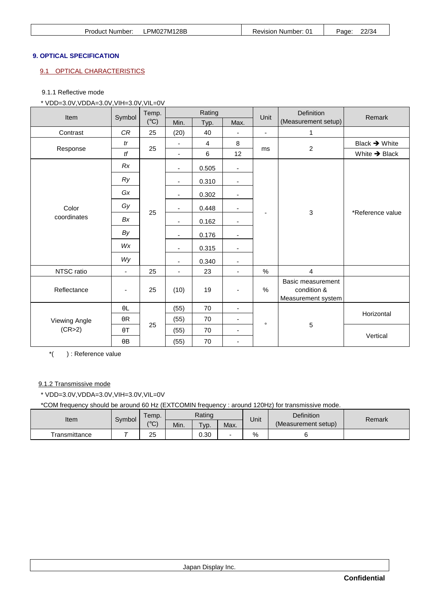| <b>Product Number:</b> | LPM027M128B | <b>Revision Number: 01</b> | 22/34<br>Page: |
|------------------------|-------------|----------------------------|----------------|
|                        |             |                            |                |

# **9. OPTICAL SPECIFICATION**

# 9.1 OPTICAL CHARACTERISTICS

#### 9.1.1 Reflective mode

\* VDD=3.0V,VDDA=3.0V,VIH=3.0V,VIL=0V

| Item          | Symbol                   | Temp.         |                          | Rating         |                          | Unit           | Definition                                             | Remark                    |
|---------------|--------------------------|---------------|--------------------------|----------------|--------------------------|----------------|--------------------------------------------------------|---------------------------|
|               |                          | $(^{\circ}C)$ | Min.                     | Typ.           | Max.                     |                | (Measurement setup)                                    |                           |
| Contrast      | CR                       | 25            | (20)                     | 40             | $\overline{\phantom{0}}$ | $\blacksquare$ | 1                                                      |                           |
|               | tr                       |               | $\blacksquare$           | $\overline{4}$ | 8                        |                |                                                        | Black $\rightarrow$ White |
| Response      | tf                       | 25            | $\overline{\phantom{a}}$ | 6              | 12                       | ms             | $\overline{c}$                                         | White $\rightarrow$ Black |
|               | Rx                       |               | $\overline{\phantom{0}}$ | 0.505          | $\overline{\phantom{a}}$ |                |                                                        |                           |
|               | Ry                       |               | ٠                        | 0.310          | $\overline{\phantom{a}}$ |                |                                                        |                           |
|               | Gx                       |               | -                        | 0.302          | $\overline{\phantom{a}}$ |                |                                                        |                           |
| Color         | Gy                       | 25            | ٠                        | 0.448          | $\overline{\phantom{a}}$ |                | 3                                                      | *Reference value          |
| coordinates   | Bx                       |               | ٠                        | 0.162          | $\overline{\phantom{a}}$ |                |                                                        |                           |
|               | By                       |               | $\blacksquare$           | 0.176          | $\overline{\phantom{a}}$ |                |                                                        |                           |
|               | <b>W<sub>x</sub></b>     |               | ٠                        | 0.315          | $\overline{\phantom{a}}$ |                |                                                        |                           |
|               | Wy                       |               | $\overline{\phantom{a}}$ | 0.340          | $\blacksquare$           |                |                                                        |                           |
| NTSC ratio    | $\overline{\phantom{a}}$ | 25            | $\overline{\phantom{a}}$ | 23             | $\overline{\phantom{a}}$ | %              | $\overline{4}$                                         |                           |
| Reflectance   | $\overline{\phantom{a}}$ | 25            | (10)                     | 19             | $\overline{\phantom{a}}$ | %              | Basic measurement<br>condition &<br>Measurement system |                           |
|               | $\theta L$               |               | (55)                     | 70             | $\blacksquare$           |                |                                                        |                           |
| Viewing Angle | $\theta R$               |               | (55)                     | 70             | ۰.                       | $\circ$        |                                                        | Horizontal                |
| (CR>2)        | $\theta T$               | 25            | (55)                     | 70             | $\overline{\phantom{a}}$ |                | 5                                                      |                           |
|               | $\theta\mathsf{B}$       |               | (55)                     | 70             | ۰                        |                |                                                        | Vertical                  |

\*( ) : Reference value

#### 9.1.2 Transmissive mode

\* VDD=3.0V,VDDA=3.0V,VIH=3.0V,VIL=0V

\*COM frequency should be around 60 Hz (EXTCOMIN frequency : around 120Hz) for transmissive mode.

| Item          | Symbol | Temp.         |      | Rating  |      | Unit | <b>Definition</b>   | Remark |
|---------------|--------|---------------|------|---------|------|------|---------------------|--------|
|               |        | $(^{\circ}C)$ | Min. | $TVP$ . | Max. |      | (Measurement setup) |        |
| Transmittance |        | 25            |      | 0.30    |      | %    |                     |        |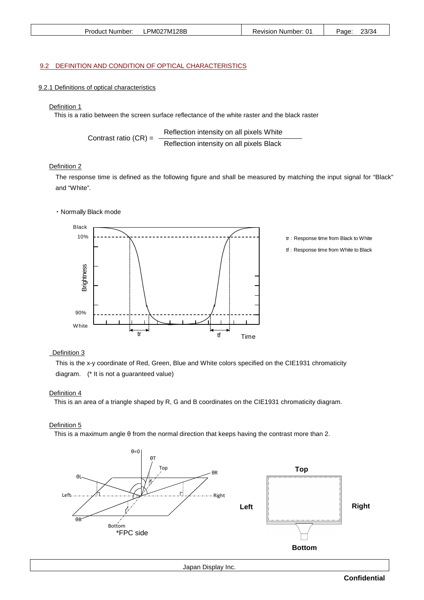| Product Number: | LPM027M128B | Revision Number: 01 | 23/34<br>Page: |
|-----------------|-------------|---------------------|----------------|
|                 |             |                     |                |

#### 9.2 DEFINITION AND CONDITION OF OPTICAL CHARACTERISTICS

#### 9.2.1 Definitions of optical characteristics

#### Definition 1

This is a ratio between the screen surface reflectance of the white raster and the black raster

Contrast ratio (CR) = 
$$
\frac{Reflection intensity on all pixels White}{Reflection intensity on all pixels Black}
$$

#### Definition 2

 The response time is defined as the following figure and shall be measured by matching the input signal for "Black" and "White".

#### ・Normally Black mode



# Definition 3

 This is the x-y coordinate of Red, Green, Blue and White colors specified on the CIE1931 chromaticity diagram. (\* It is not a guaranteed value)

#### Definition 4

This is an area of a triangle shaped by R, G and B coordinates on the CIE1931 chromaticity diagram.

#### Definition 5

This is a maximum angle θ from the normal direction that keeps having the contrast more than 2.

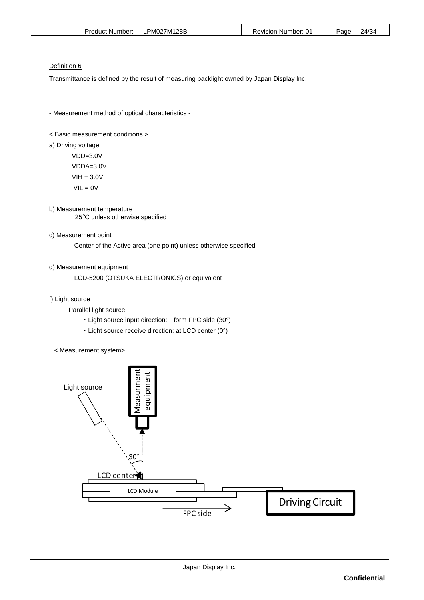|--|

#### Definition 6

Transmittance is defined by the result of measuring backlight owned by Japan Display Inc.

- Measurement method of optical characteristics -

< Basic measurement conditions >

a) Driving voltage

 VDD=3.0V VDDA=3.0V  $VIH = 3.0V$  $VIL = 0V$ 

- b) Measurement temperature 25°C unless otherwise specified
- c) Measurement point

Center of the Active area (one point) unless otherwise specified

d) Measurement equipment

LCD-5200 (OTSUKA ELECTRONICS) or equivalent

- f) Light source
	- Parallel light source
		- ・Light source input direction: form FPC side (30°)
		- ・Light source receive direction: at LCD center (0°)
	- < Measurement system>

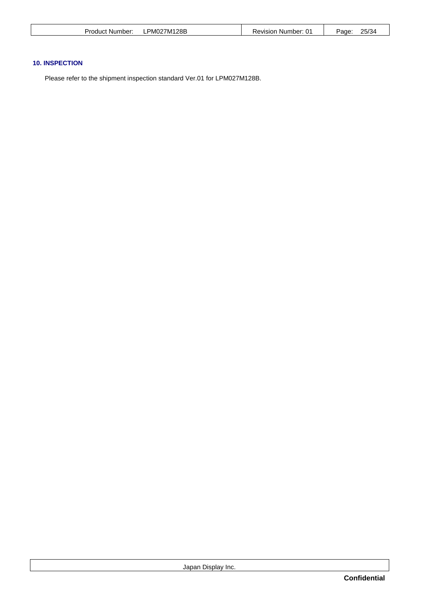| Product Number: | PM027M128B<br>╌ | <b>Revision Number: 01</b> | 25/34<br>Page: |
|-----------------|-----------------|----------------------------|----------------|
|                 |                 |                            |                |

# **10. INSPECTION**

Please refer to the shipment inspection standard Ver.01 for LPM027M128B.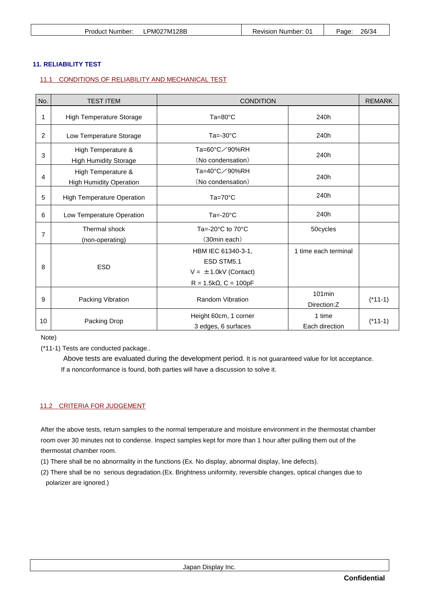| Product | PM027M128B | Revision Number: | 26/34 |
|---------|------------|------------------|-------|
| Number: | .          |                  | Page: |

# **11. RELIABILITY TEST**

# 11.1 CONDITIONS OF RELIABILITY AND MECHANICAL TEST

| No.            | <b>TEST ITEM</b>                                     | <b>CONDITION</b>                                                                                 |                          | <b>REMARK</b> |
|----------------|------------------------------------------------------|--------------------------------------------------------------------------------------------------|--------------------------|---------------|
| 1              | <b>High Temperature Storage</b>                      | $Ta=80^{\circ}C$                                                                                 | 240h                     |               |
| 2              | Low Temperature Storage                              | $Ta = -30^{\circ}C$                                                                              | 240h                     |               |
| 3              | High Temperature &<br><b>High Humidity Storage</b>   | Ta=60°C∕90%RH<br>(No condensation)                                                               | 240h                     |               |
| 4              | High Temperature &<br><b>High Humidity Operation</b> | Ta=40°C∕90%RH<br>(No condensation)                                                               | 240h                     |               |
| 5              | <b>High Temperature Operation</b>                    | $Ta=70^{\circ}C$                                                                                 | 240h                     |               |
| 6              | Low Temperature Operation                            | $Ta = -20°C$                                                                                     | 240h                     |               |
| $\overline{7}$ | Thermal shock<br>(non-operating)                     | Ta=-20 $^{\circ}$ C to 70 $^{\circ}$ C<br>(30min each)                                           | 50cycles                 |               |
| 8              | <b>ESD</b>                                           | HBM IEC 61340-3-1,<br>ESD STM5.1<br>$V = \pm 1.0$ kV (Contact)<br>$R = 1.5k\Omega$ , $C = 100pF$ | 1 time each terminal     |               |
| 9              | Packing Vibration                                    | <b>Random Vibration</b>                                                                          | $101$ min<br>Direction:Z | $(*11-1)$     |
| 10             | Packing Drop                                         | Height 60cm, 1 corner<br>3 edges, 6 surfaces                                                     | 1 time<br>Each direction | $(*11-1)$     |

Note)

(\*11-1) Tests are conducted package..

Above tests are evaluated during the development period. It is not guaranteed value for lot acceptance. If a nonconformance is found, both parties will have a discussion to solve it.

#### 11.2 CRITERIA FOR JUDGEMENT

After the above tests, return samples to the normal temperature and moisture environment in the thermostat chamber room over 30 minutes not to condense. Inspect samples kept for more than 1 hour after pulling them out of the thermostat chamber room.

(1) There shall be no abnormality in the functions (Ex. No display, abnormal display, line defects).

(2) There shall be no serious degradation.(Ex. Brightness uniformity, reversible changes, optical changes due to polarizer are ignored.)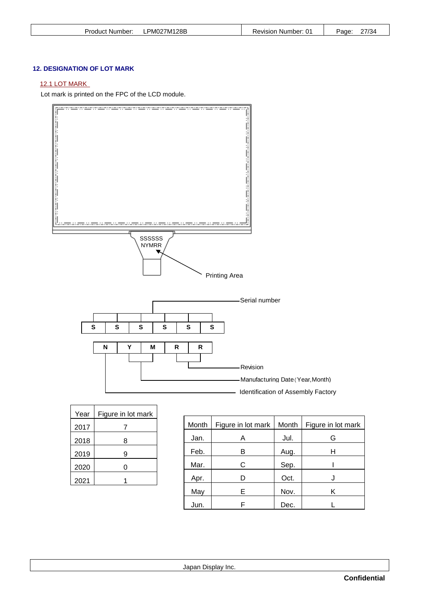| PM027M128B<br>Product Number: | Revision Number: 01 | 77/34<br>Page <sup>-</sup> |
|-------------------------------|---------------------|----------------------------|
|-------------------------------|---------------------|----------------------------|

# **12. DESIGNATION OF LOT MARK**

# 12.1 LOT MARK

Lot mark is printed on the FPC of the LCD module.



| Year | Figure in lot mark |
|------|--------------------|
| 2017 |                    |
| 2018 | 8                  |
| 2019 | 9                  |
| 2020 | O                  |
| 2021 |                    |

| Month | Figure in lot mark | Month | Figure in lot mark |
|-------|--------------------|-------|--------------------|
| Jan.  | A                  | Jul.  | G                  |
| Feb.  | в                  | Aug.  | н                  |
| Mar.  | С                  | Sep.  |                    |
| Apr.  |                    | Oct.  |                    |
| May   | Е                  | Nov.  | Κ                  |
| Jun.  | F                  | Dec.  |                    |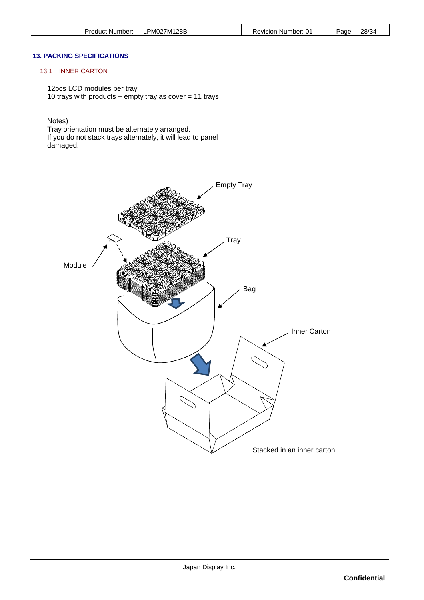| PM027M128B      | ı Number: 01 | 28/34 |
|-----------------|--------------|-------|
| Product Number: | Revision     | Page: |

#### **13. PACKING SPECIFICATIONS**

# 13.1 INNER CARTON

12pcs LCD modules per tray 10 trays with products  $+$  empty tray as cover = 11 trays

Notes)

Tray orientation must be alternately arranged. If you do not stack trays alternately, it will lead to panel damaged.

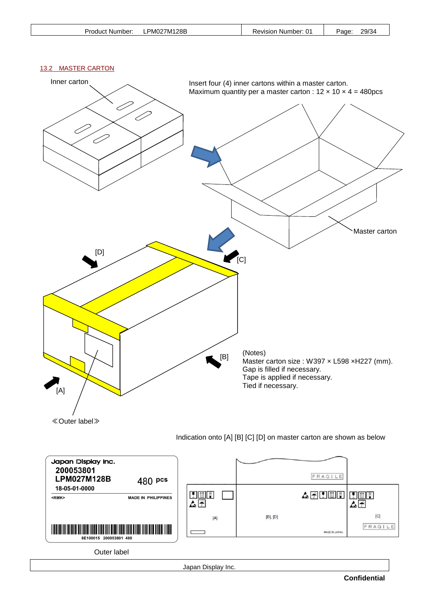| Product Number: | ∟PM027M128B | Revision Number: 01 | 29/34<br>Page: |
|-----------------|-------------|---------------------|----------------|
|                 |             |                     |                |

# 13.2 MASTER CARTON



Japan Display Inc.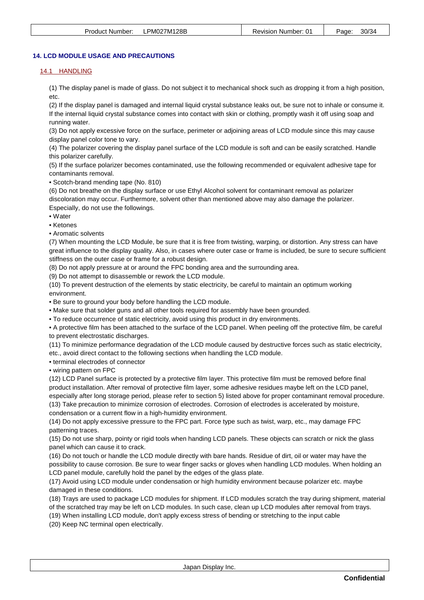# **14. LCD MODULE USAGE AND PRECAUTIONS**

# 14.1 HANDLING

(1) The display panel is made of glass. Do not subject it to mechanical shock such as dropping it from a high position, etc.

(2) If the display panel is damaged and internal liquid crystal substance leaks out, be sure not to inhale or consume it. If the internal liquid crystal substance comes into contact with skin or clothing, promptly wash it off using soap and running water.

(3) Do not apply excessive force on the surface, perimeter or adjoining areas of LCD module since this may cause display panel color tone to vary.

(4) The polarizer covering the display panel surface of the LCD module is soft and can be easily scratched. Handle this polarizer carefully.

(5) If the surface polarizer becomes contaminated, use the following recommended or equivalent adhesive tape for contaminants removal.

• Scotch-brand mending tape (No. 810)

(6) Do not breathe on the display surface or use Ethyl Alcohol solvent for contaminant removal as polarizer discoloration may occur. Furthermore, solvent other than mentioned above may also damage the polarizer. Especially, do not use the followings.

• Water

• Ketones

• Aromatic solvents

(7) When mounting the LCD Module, be sure that it is free from twisting, warping, or distortion. Any stress can have great influence to the display quality. Also, in cases where outer case or frame is included, be sure to secure sufficient stiffness on the outer case or frame for a robust design.

(8) Do not apply pressure at or around the FPC bonding area and the surrounding area.

(9) Do not attempt to disassemble or rework the LCD module.

(10) To prevent destruction of the elements by static electricity, be careful to maintain an optimum working environment.

• Be sure to ground your body before handling the LCD module.

• Make sure that solder guns and all other tools required for assembly have been grounded.

• To reduce occurrence of static electricity, avoid using this product in dry environments.

• A protective film has been attached to the surface of the LCD panel. When peeling off the protective film, be careful to prevent electrostatic discharges.

(11) To minimize performance degradation of the LCD module caused by destructive forces such as static electricity, etc., avoid direct contact to the following sections when handling the LCD module.

• terminal electrodes of connector

• wiring pattern on FPC

(12) LCD Panel surface is protected by a protective film layer. This protective film must be removed before final product installation. After removal of protective film layer, some adhesive residues maybe left on the LCD panel, especially after long storage period, please refer to section 5) listed above for proper contaminant removal procedure. (13) Take precaution to minimize corrosion of electrodes. Corrosion of electrodes is accelerated by moisture,

condensation or a current flow in a high-humidity environment.

(14) Do not apply excessive pressure to the FPC part. Force type such as twist, warp, etc., may damage FPC patterning traces.

(15) Do not use sharp, pointy or rigid tools when handing LCD panels. These objects can scratch or nick the glass panel which can cause it to crack.

(16) Do not touch or handle the LCD module directly with bare hands. Residue of dirt, oil or water may have the possibility to cause corrosion. Be sure to wear finger sacks or gloves when handling LCD modules. When holding an LCD panel module, carefully hold the panel by the edges of the glass plate.

(17) Avoid using LCD module under condensation or high humidity environment because polarizer etc. maybe damaged in these conditions.

(18) Trays are used to package LCD modules for shipment. If LCD modules scratch the tray during shipment, material of the scratched tray may be left on LCD modules. In such case, clean up LCD modules after removal from trays.

(19) When installing LCD module, don't apply excess stress of bending or stretching to the input cable

(20) Keep NC terminal open electrically.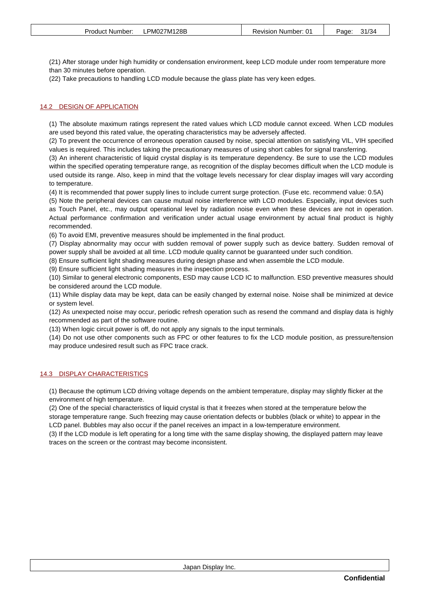(21) After storage under high humidity or condensation environment, keep LCD module under room temperature more than 30 minutes before operation.

(22) Take precautions to handling LCD module because the glass plate has very keen edges.

# 14.2 DESIGN OF APPLICATION

(1) The absolute maximum ratings represent the rated values which LCD module cannot exceed. When LCD modules are used beyond this rated value, the operating characteristics may be adversely affected.

(2) To prevent the occurrence of erroneous operation caused by noise, special attention on satisfying VIL, VIH specified values is required. This includes taking the precautionary measures of using short cables for signal transferring.

(3) An inherent characteristic of liquid crystal display is its temperature dependency. Be sure to use the LCD modules within the specified operating temperature range, as recognition of the display becomes difficult when the LCD module is used outside its range. Also, keep in mind that the voltage levels necessary for clear display images will vary according to temperature.

(4) It is recommended that power supply lines to include current surge protection. (Fuse etc. recommend value: 0.5A)

(5) Note the peripheral devices can cause mutual noise interference with LCD modules. Especially, input devices such as Touch Panel, etc., may output operational level by radiation noise even when these devices are not in operation. Actual performance confirmation and verification under actual usage environment by actual final product is highly recommended.

(6) To avoid EMI, preventive measures should be implemented in the final product.

(7) Display abnormality may occur with sudden removal of power supply such as device battery. Sudden removal of power supply shall be avoided at all time. LCD module quality cannot be guaranteed under such condition.

(8) Ensure sufficient light shading measures during design phase and when assemble the LCD module.

(9) Ensure sufficient light shading measures in the inspection process.

(10) Similar to general electronic components, ESD may cause LCD IC to malfunction. ESD preventive measures should be considered around the LCD module.

(11) While display data may be kept, data can be easily changed by external noise. Noise shall be minimized at device or system level.

(12) As unexpected noise may occur, periodic refresh operation such as resend the command and display data is highly recommended as part of the software routine.

(13) When logic circuit power is off, do not apply any signals to the input terminals.

(14) Do not use other components such as FPC or other features to fix the LCD module position, as pressure/tension may produce undesired result such as FPC trace crack.

#### 14.3 DISPLAY CHARACTERISTICS

(1) Because the optimum LCD driving voltage depends on the ambient temperature, display may slightly flicker at the environment of high temperature.

(2) One of the special characteristics of liquid crystal is that it freezes when stored at the temperature below the storage temperature range. Such freezing may cause orientation defects or bubbles (black or white) to appear in the LCD panel. Bubbles may also occur if the panel receives an impact in a low-temperature environment.

(3) If the LCD module is left operating for a long time with the same display showing, the displayed pattern may leave traces on the screen or the contrast may become inconsistent.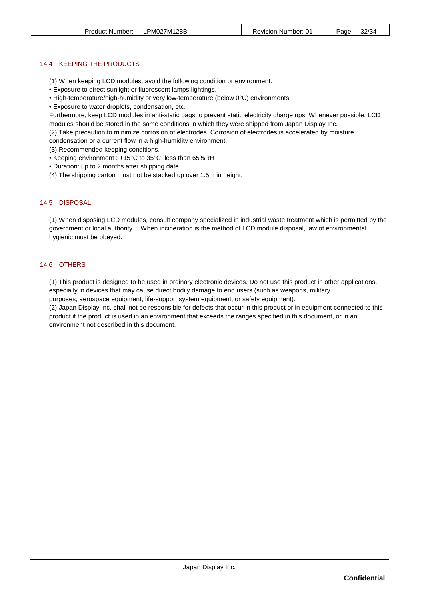#### 14.4 KEEPING THE PRODUCTS

- (1) When keeping LCD modules, avoid the following condition or environment.
- Exposure to direct sunlight or fluorescent lamps lightings.
- High-temperature/high-humidity or very low-temperature (below 0°C) environments.
- Exposure to water droplets, condensation, etc.

Furthermore, keep LCD modules in anti-static bags to prevent static electricity charge ups. Whenever possible, LCD modules should be stored in the same conditions in which they were shipped from Japan Display Inc.

(2) Take precaution to minimize corrosion of electrodes. Corrosion of electrodes is accelerated by moisture,

condensation or a current flow in a high-humidity environment.

(3) Recommended keeping conditions.

- Keeping environment : +15°C to 35°C, less than 65%RH
- Duration: up to 2 months after shipping date
- (4) The shipping carton must not be stacked up over 1.5m in height.

#### 14.5 DISPOSAL

(1) When disposing LCD modules, consult company specialized in industrial waste treatment which is permitted by the government or local authority. When incineration is the method of LCD module disposal, law of environmental hygienic must be obeyed.

#### 14.6 OTHERS

(1) This product is designed to be used in ordinary electronic devices. Do not use this product in other applications, especially in devices that may cause direct bodily damage to end users (such as weapons, military

purposes, aerospace equipment, life-support system equipment, or safety equipment).

(2) Japan Display Inc. shall not be responsible for defects that occur in this product or in equipment connected to this product if the product is used in an environment that exceeds the ranges specified in this document, or in an environment not described in this document.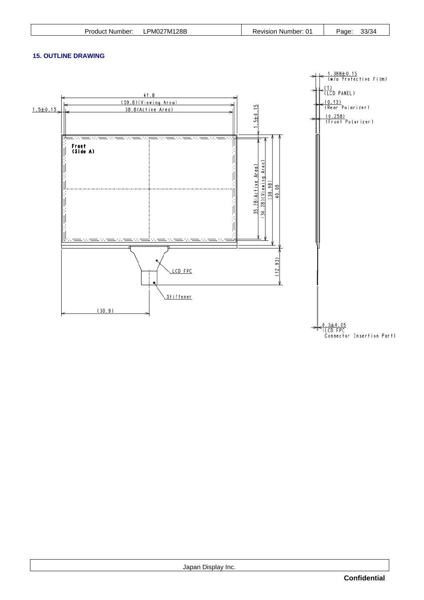# **15. OUTLINE DRAWING**